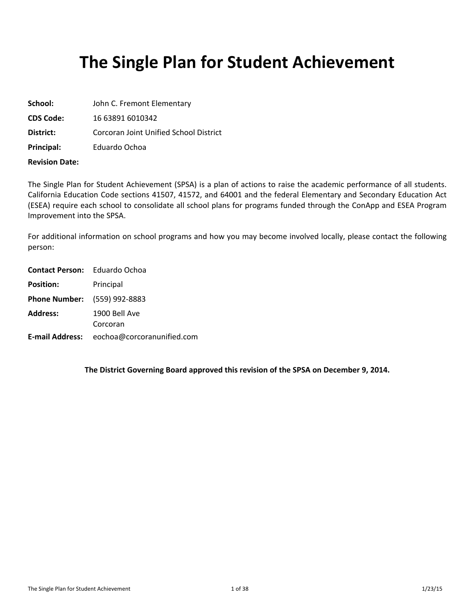# **The Single Plan for Student Achievement**

| School:               | John C. Fremont Elementary             |
|-----------------------|----------------------------------------|
| CDS Code:             | 16 63891 6010342                       |
| <b>District:</b>      | Corcoran Joint Unified School District |
| Principal:            | Eduardo Ochoa                          |
| <b>Revision Date:</b> |                                        |

The Single Plan for Student Achievement (SPSA) is a plan of actions to raise the academic performance of all students. California Education Code sections 41507, 41572, and 64001 and the federal Elementary and Secondary Education Act (ESEA) require each school to consolidate all school plans for programs funded through the ConApp and ESEA Program Improvement into the SPSA.

For additional information on school programs and how you may become involved locally, please contact the following person:

| <b>Contact Person:</b> Eduardo Ochoa |                                            |
|--------------------------------------|--------------------------------------------|
| <b>Position:</b>                     | Principal                                  |
| <b>Phone Number:</b> (559) 992-8883  |                                            |
| <b>Address:</b>                      | 1900 Bell Ave<br>Corcoran                  |
|                                      | E-mail Address: eochoa@corcoranunified.com |

**The District Governing Board approved this revision of the SPSA on December 9, 2014.**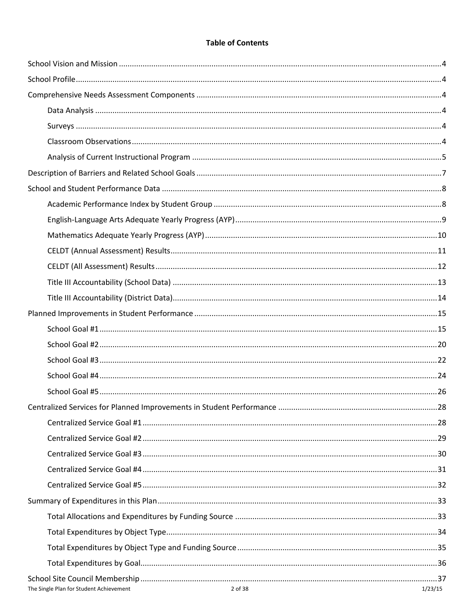## **Table of Contents**

| The Single Plan for Student Achievement<br>2 of 38 | 1/23/15 |
|----------------------------------------------------|---------|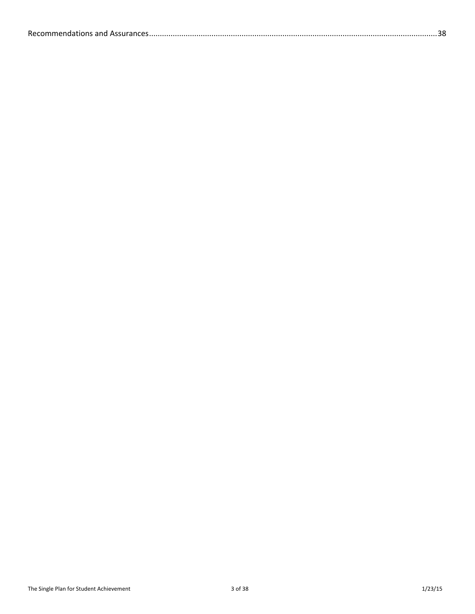|--|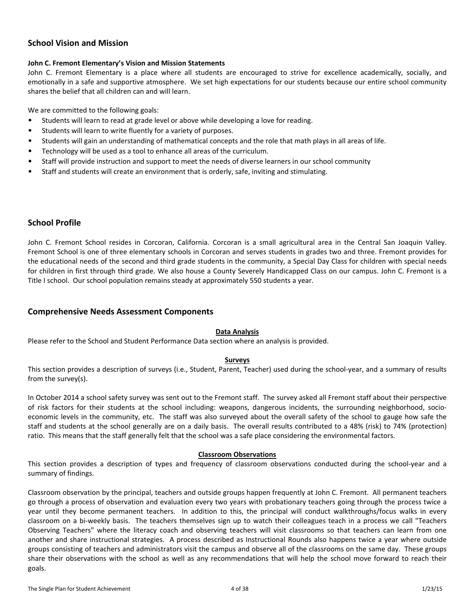## <span id="page-3-0"></span>**School Vision and Mission**

#### **John C. Fremont Elementary's Vision and Mission Statements**

John C. Fremont Elementary is a place where all students are encouraged to strive for excellence academically, socially, and emotionally in a safe and supportive atmosphere. We set high expectations for our students because our entire school community shares the belief that all children can and will learn.

We are committed to the following goals:

- Students will learn to read at grade level or above while developing a love for reading.
- Students will learn to write fluently for a variety of purposes.
- Students will gain an understanding of mathematical concepts and the role that math plays in all areas of life.
- Technology will be used as a tool to enhance all areas of the curriculum.
- Staff will provide instruction and support to meet the needs of diverse learners in our school community
- Staff and students will create an environment that is orderly, safe, inviting and stimulating.

## <span id="page-3-1"></span>**School Profile**

John C. Fremont School resides in Corcoran, California. Corcoran is a small agricultural area in the Central San Joaquin Valley. Fremont School is one of three elementary schools in Corcoran and serves students in grades two and three. Fremont provides for the educational needs of the second and third grade students in the community, a Special Day Class for children with special needs for children in first through third grade. We also house a County Severely Handicapped Class on our campus. John C. Fremont is a Title I school. Our school population remains steady at approximately 550 students a year.

### <span id="page-3-2"></span>**Comprehensive Needs Assessment Components**

#### <span id="page-3-3"></span>**Data Analysis**

Please refer to the School and Student Performance Data section where an analysis is provided.

### <span id="page-3-4"></span>**Surveys**

This section provides a description of surveys (i.e., Student, Parent, Teacher) used during the school-year, and a summary of results from the survey(s).

In October 2014 a school safety survey was sent out to the Fremont staff. The survey asked all Fremont staff about their perspective of risk factors for their students at the school including: weapons, dangerous incidents, the surrounding neighborhood, socioeconomic levels in the community, etc. The staff was also surveyed about the overall safety of the school to gauge how safe the staff and students at the school generally are on a daily basis. The overall results contributed to a 48% (risk) to 74% (protection) ratio. This means that the staff generally felt that the school was a safe place considering the environmental factors.

#### <span id="page-3-5"></span>**Classroom Observations**

This section provides a description of types and frequency of classroom observations conducted during the school-year and a summary of findings.

Classroom observation by the principal, teachers and outside groups happen frequently at John C. Fremont. All permanent teachers go through a process of observation and evaluation every two years with probationary teachers going through the process twice a year until they become permanent teachers. In addition to this, the principal will conduct walkthroughs/focus walks in every classroom on a bi-weekly basis. The teachers themselves sign up to watch their colleagues teach in a process we call "Teachers Observing Teachers" where the literacy coach and observing teachers will visit classrooms so that teachers can learn from one another and share instructional strategies. A process described as Instructional Rounds also happens twice a year where outside groups consisting of teachers and administrators visit the campus and observe all of the classrooms on the same day. These groups share their observations with the school as well as any recommendations that will help the school move forward to reach their goals.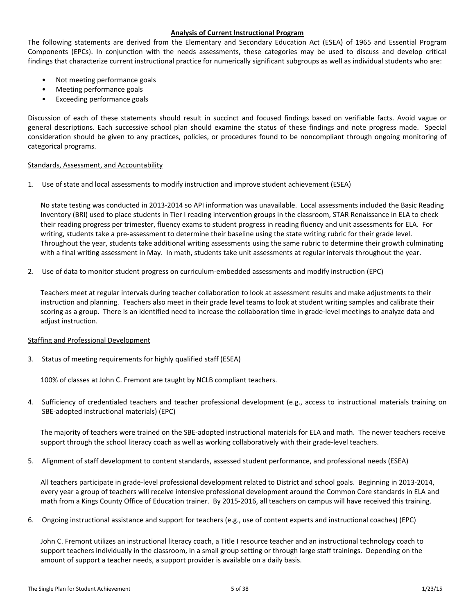#### <span id="page-4-0"></span>**Analysis of Current Instructional Program**

The following statements are derived from the Elementary and Secondary Education Act (ESEA) of 1965 and Essential Program Components (EPCs). In conjunction with the needs assessments, these categories may be used to discuss and develop critical findings that characterize current instructional practice for numerically significant subgroups as well as individual students who are:

- Not meeting performance goals
- Meeting performance goals
- Exceeding performance goals

Discussion of each of these statements should result in succinct and focused findings based on verifiable facts. Avoid vague or general descriptions. Each successive school plan should examine the status of these findings and note progress made. Special consideration should be given to any practices, policies, or procedures found to be noncompliant through ongoing monitoring of categorical programs.

#### Standards, Assessment, and Accountability

1. Use of state and local assessments to modify instruction and improve student achievement (ESEA)

No state testing was conducted in 2013-2014 so API information was unavailable. Local assessments included the Basic Reading Inventory (BRI) used to place students in Tier I reading intervention groups in the classroom, STAR Renaissance in ELA to check their reading progress per trimester, fluency exams to student progress in reading fluency and unit assessments for ELA. For writing, students take a pre-assessment to determine their baseline using the state writing rubric for their grade level. Throughout the year, students take additional writing assessments using the same rubric to determine their growth culminating with a final writing assessment in May. In math, students take unit assessments at regular intervals throughout the year.

2. Use of data to monitor student progress on curriculum-embedded assessments and modify instruction (EPC)

Teachers meet at regular intervals during teacher collaboration to look at assessment results and make adjustments to their instruction and planning. Teachers also meet in their grade level teams to look at student writing samples and calibrate their scoring as a group. There is an identified need to increase the collaboration time in grade-level meetings to analyze data and adjust instruction.

#### Staffing and Professional Development

3. Status of meeting requirements for highly qualified staff (ESEA)

100% of classes at John C. Fremont are taught by NCLB compliant teachers.

4. Sufficiency of credentialed teachers and teacher professional development (e.g., access to instructional materials training on SBE-adopted instructional materials) (EPC)

The majority of teachers were trained on the SBE-adopted instructional materials for ELA and math. The newer teachers receive support through the school literacy coach as well as working collaboratively with their grade-level teachers.

5. Alignment of staff development to content standards, assessed student performance, and professional needs (ESEA)

All teachers participate in grade-level professional development related to District and school goals. Beginning in 2013-2014, every year a group of teachers will receive intensive professional development around the Common Core standards in ELA and math from a Kings County Office of Education trainer. By 2015-2016, all teachers on campus will have received this training.

6. Ongoing instructional assistance and support for teachers (e.g., use of content experts and instructional coaches) (EPC)

John C. Fremont utilizes an instructional literacy coach, a Title I resource teacher and an instructional technology coach to support teachers individually in the classroom, in a small group setting or through large staff trainings. Depending on the amount of support a teacher needs, a support provider is available on a daily basis.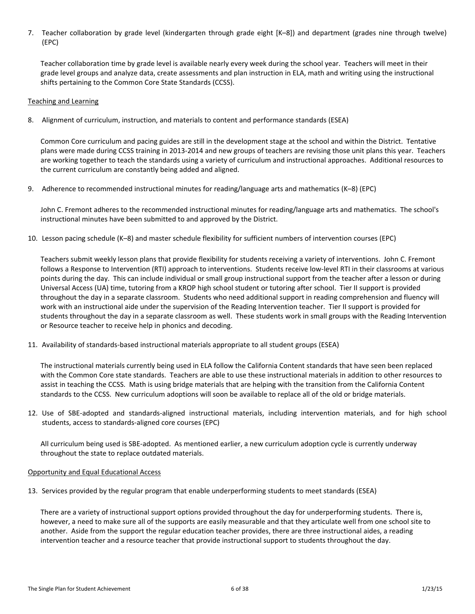7. Teacher collaboration by grade level (kindergarten through grade eight [K–8]) and department (grades nine through twelve) (EPC)

Teacher collaboration time by grade level is available nearly every week during the school year. Teachers will meet in their grade level groups and analyze data, create assessments and plan instruction in ELA, math and writing using the instructional shifts pertaining to the Common Core State Standards (CCSS).

#### Teaching and Learning

8. Alignment of curriculum, instruction, and materials to content and performance standards (ESEA)

Common Core curriculum and pacing guides are still in the development stage at the school and within the District. Tentative plans were made during CCSS training in 2013-2014 and new groups of teachers are revising those unit plans this year. Teachers are working together to teach the standards using a variety of curriculum and instructional approaches. Additional resources to the current curriculum are constantly being added and aligned.

9. Adherence to recommended instructional minutes for reading/language arts and mathematics (K–8) (EPC)

John C. Fremont adheres to the recommended instructional minutes for reading/language arts and mathematics. The school's instructional minutes have been submitted to and approved by the District.

10. Lesson pacing schedule (K–8) and master schedule flexibility for sufficient numbers of intervention courses (EPC)

Teachers submit weekly lesson plans that provide flexibility for students receiving a variety of interventions. John C. Fremont follows a Response to Intervention (RTI) approach to interventions. Students receive low-level RTI in their classrooms at various points during the day. This can include individual or small group instructional support from the teacher after a lesson or during Universal Access (UA) time, tutoring from a KROP high school student or tutoring after school. Tier II support is provided throughout the day in a separate classroom. Students who need additional support in reading comprehension and fluency will work with an instructional aide under the supervision of the Reading Intervention teacher. Tier II support is provided for students throughout the day in a separate classroom as well. These students work in small groups with the Reading Intervention or Resource teacher to receive help in phonics and decoding.

11. Availability of standards-based instructional materials appropriate to all student groups (ESEA)

The instructional materials currently being used in ELA follow the California Content standards that have seen been replaced with the Common Core state standards. Teachers are able to use these instructional materials in addition to other resources to assist in teaching the CCSS. Math is using bridge materials that are helping with the transition from the California Content standards to the CCSS. New curriculum adoptions will soon be available to replace all of the old or bridge materials.

12. Use of SBE-adopted and standards-aligned instructional materials, including intervention materials, and for high school students, access to standards-aligned core courses (EPC)

All curriculum being used is SBE-adopted. As mentioned earlier, a new curriculum adoption cycle is currently underway throughout the state to replace outdated materials.

### Opportunity and Equal Educational Access

13. Services provided by the regular program that enable underperforming students to meet standards (ESEA)

There are a variety of instructional support options provided throughout the day for underperforming students. There is, however, a need to make sure all of the supports are easily measurable and that they articulate well from one school site to another. Aside from the support the regular education teacher provides, there are three instructional aides, a reading intervention teacher and a resource teacher that provide instructional support to students throughout the day.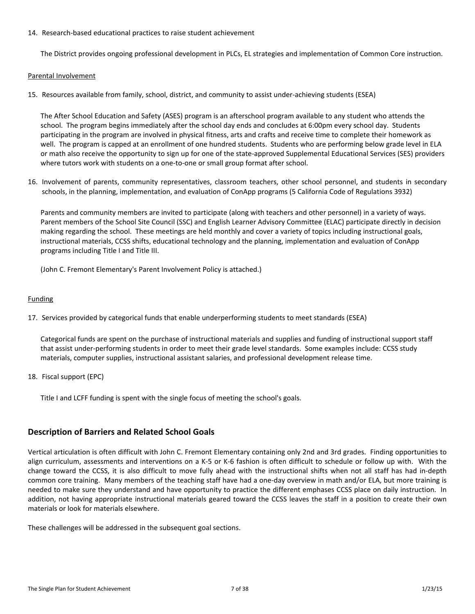#### 14. Research-based educational practices to raise student achievement

The District provides ongoing professional development in PLCs, EL strategies and implementation of Common Core instruction.

#### Parental Involvement

15. Resources available from family, school, district, and community to assist under-achieving students (ESEA)

The After School Education and Safety (ASES) program is an afterschool program available to any student who attends the school. The program begins immediately after the school day ends and concludes at 6:00pm every school day. Students participating in the program are involved in physical fitness, arts and crafts and receive time to complete their homework as well. The program is capped at an enrollment of one hundred students. Students who are performing below grade level in ELA or math also receive the opportunity to sign up for one of the state-approved Supplemental Educational Services (SES) providers where tutors work with students on a one-to-one or small group format after school.

16. Involvement of parents, community representatives, classroom teachers, other school personnel, and students in secondary schools, in the planning, implementation, and evaluation of ConApp programs (5 California Code of Regulations 3932)

Parents and community members are invited to participate (along with teachers and other personnel) in a variety of ways. Parent members of the School Site Council (SSC) and English Learner Advisory Committee (ELAC) participate directly in decision making regarding the school. These meetings are held monthly and cover a variety of topics including instructional goals, instructional materials, CCSS shifts, educational technology and the planning, implementation and evaluation of ConApp programs including Title I and Title III.

(John C. Fremont Elementary's Parent Involvement Policy is attached.)

### Funding

17. Services provided by categorical funds that enable underperforming students to meet standards (ESEA)

Categorical funds are spent on the purchase of instructional materials and supplies and funding of instructional support staff that assist under-performing students in order to meet their grade level standards. Some examples include: CCSS study materials, computer supplies, instructional assistant salaries, and professional development release time.

18. Fiscal support (EPC)

Title I and LCFF funding is spent with the single focus of meeting the school's goals.

## <span id="page-6-0"></span>**Description of Barriers and Related School Goals**

Vertical articulation is often difficult with John C. Fremont Elementary containing only 2nd and 3rd grades. Finding opportunities to align curriculum, assessments and interventions on a K-5 or K-6 fashion is often difficult to schedule or follow up with. With the change toward the CCSS, it is also difficult to move fully ahead with the instructional shifts when not all staff has had in-depth common core training. Many members of the teaching staff have had a one-day overview in math and/or ELA, but more training is needed to make sure they understand and have opportunity to practice the different emphases CCSS place on daily instruction. In addition, not having appropriate instructional materials geared toward the CCSS leaves the staff in a position to create their own materials or look for materials elsewhere.

These challenges will be addressed in the subsequent goal sections.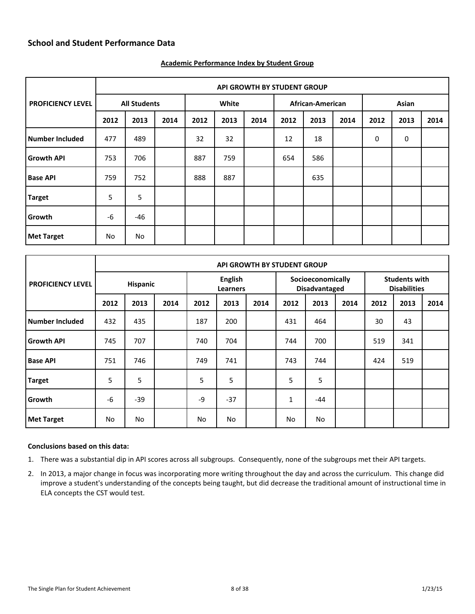<span id="page-7-0"></span>

|                          | <b>API GROWTH BY STUDENT GROUP</b> |       |      |       |      |      |                  |      |      |       |      |      |  |
|--------------------------|------------------------------------|-------|------|-------|------|------|------------------|------|------|-------|------|------|--|
| <b>PROFICIENCY LEVEL</b> | <b>All Students</b>                |       |      | White |      |      | African-American |      |      | Asian |      |      |  |
|                          | 2012                               | 2013  | 2014 | 2012  | 2013 | 2014 | 2012             | 2013 | 2014 | 2012  | 2013 | 2014 |  |
| Number Included          | 477                                | 489   |      | 32    | 32   |      | 12               | 18   |      | 0     | 0    |      |  |
| <b>Growth API</b>        | 753                                | 706   |      | 887   | 759  |      | 654              | 586  |      |       |      |      |  |
| <b>Base API</b>          | 759                                | 752   |      | 888   | 887  |      |                  | 635  |      |       |      |      |  |
| <b>Target</b>            | 5                                  | 5     |      |       |      |      |                  |      |      |       |      |      |  |
| Growth                   | $-6$                               | $-46$ |      |       |      |      |                  |      |      |       |      |      |  |
| Met Target               | No                                 | No    |      |       |      |      |                  |      |      |       |      |      |  |

#### <span id="page-7-1"></span>**Academic Performance Index by Student Group**

|                          |                 |      |      |                                   |       | <b>API GROWTH BY STUDENT GROUP</b> |                                           |           |      |                                             |      |      |
|--------------------------|-----------------|------|------|-----------------------------------|-------|------------------------------------|-------------------------------------------|-----------|------|---------------------------------------------|------|------|
| <b>PROFICIENCY LEVEL</b> | <b>Hispanic</b> |      |      | <b>English</b><br><b>Learners</b> |       |                                    | Socioeconomically<br><b>Disadvantaged</b> |           |      | <b>Students with</b><br><b>Disabilities</b> |      |      |
|                          | 2012            | 2013 | 2014 | 2012                              | 2013  | 2014                               | 2012                                      | 2013      | 2014 | 2012                                        | 2013 | 2014 |
| <b>Number Included</b>   | 432             | 435  |      | 187                               | 200   |                                    | 431                                       | 464       |      | 30                                          | 43   |      |
| <b>Growth API</b>        | 745             | 707  |      | 740                               | 704   |                                    | 744                                       | 700       |      | 519                                         | 341  |      |
| <b>Base API</b>          | 751             | 746  |      | 749                               | 741   |                                    | 743                                       | 744       |      | 424                                         | 519  |      |
| <b>Target</b>            | 5               | 5    |      | 5                                 | 5     |                                    | 5                                         | 5         |      |                                             |      |      |
| Growth                   | $-6$            | -39  |      | $-9$                              | $-37$ |                                    | 1                                         | $-44$     |      |                                             |      |      |
| <b>Met Target</b>        | No.             | No   |      | No.                               | No.   |                                    | No                                        | <b>No</b> |      |                                             |      |      |

#### **Conclusions based on this data:**

1. There was a substantial dip in API scores across all subgroups. Consequently, none of the subgroups met their API targets.

2. In 2013, a major change in focus was incorporating more writing throughout the day and across the curriculum. This change did improve a student's understanding of the concepts being taught, but did decrease the traditional amount of instructional time in ELA concepts the CST would test.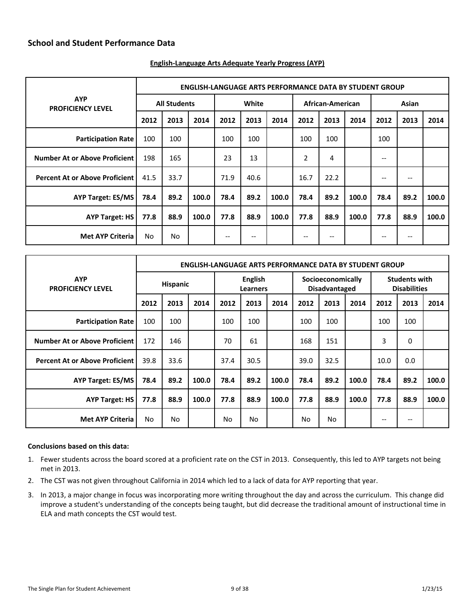|                                         |                     | <b>ENGLISH-LANGUAGE ARTS PERFORMANCE DATA BY STUDENT GROUP</b> |       |                                       |       |       |       |                  |       |       |       |       |  |
|-----------------------------------------|---------------------|----------------------------------------------------------------|-------|---------------------------------------|-------|-------|-------|------------------|-------|-------|-------|-------|--|
| <b>AYP</b><br><b>PROFICIENCY LEVEL</b>  | <b>All Students</b> |                                                                |       |                                       | White |       |       | African-American |       |       | Asian |       |  |
|                                         | 2012                | 2013                                                           | 2014  | 2012                                  | 2013  | 2014  | 2012  | 2013             | 2014  | 2012  | 2013  | 2014  |  |
| <b>Participation Rate</b>               | 100                 | 100                                                            |       | 100                                   | 100   |       | 100   | 100              |       | 100   |       |       |  |
| <b>Number At or Above Proficient  </b>  | 198                 | 165                                                            |       | 23                                    | 13    |       | 2     | 4                |       | $- -$ |       |       |  |
| <b>Percent At or Above Proficient  </b> | 41.5                | 33.7                                                           |       | 71.9                                  | 40.6  |       | 16.7  | 22.2             |       | --    | $- -$ |       |  |
| <b>AYP Target: ES/MS</b>                | 78.4                | 89.2                                                           | 100.0 | 78.4                                  | 89.2  | 100.0 | 78.4  | 89.2             | 100.0 | 78.4  | 89.2  | 100.0 |  |
| <b>AYP Target: HS</b>                   | 77.8                | 88.9                                                           | 100.0 | 77.8                                  | 88.9  | 100.0 | 77.8  | 88.9             | 100.0 | 77.8  | 88.9  | 100.0 |  |
| <b>Met AYP Criteria</b>                 | No.                 | No                                                             |       | $\hspace{0.05cm}$ – $\hspace{0.05cm}$ | --    |       | $- -$ | --               |       |       | $ -$  |       |  |

### <span id="page-8-0"></span>**English-Language Arts Adequate Yearly Progress (AYP)**

|                                         |                 |      |       |                                   |      | <b>ENGLISH-LANGUAGE ARTS PERFORMANCE DATA BY STUDENT GROUP</b> |                                           |      |       |                                             |      |       |
|-----------------------------------------|-----------------|------|-------|-----------------------------------|------|----------------------------------------------------------------|-------------------------------------------|------|-------|---------------------------------------------|------|-------|
| <b>AYP</b><br><b>PROFICIENCY LEVEL</b>  | <b>Hispanic</b> |      |       | <b>English</b><br><b>Learners</b> |      |                                                                | Socioeconomically<br><b>Disadvantaged</b> |      |       | <b>Students with</b><br><b>Disabilities</b> |      |       |
|                                         | 2012            | 2013 | 2014  | 2012                              | 2013 | 2014                                                           | 2012                                      | 2013 | 2014  | 2012                                        | 2013 | 2014  |
| <b>Participation Rate</b>               | 100             | 100  |       | 100                               | 100  |                                                                | 100                                       | 100  |       | 100                                         | 100  |       |
| <b>Number At or Above Proficient</b>    | 172             | 146  |       | 70                                | 61   |                                                                | 168                                       | 151  |       | 3                                           | 0    |       |
| <b>Percent At or Above Proficient I</b> | 39.8            | 33.6 |       | 37.4                              | 30.5 |                                                                | 39.0                                      | 32.5 |       | 10.0                                        | 0.0  |       |
| <b>AYP Target: ES/MS</b>                | 78.4            | 89.2 | 100.0 | 78.4                              | 89.2 | 100.0                                                          | 78.4                                      | 89.2 | 100.0 | 78.4                                        | 89.2 | 100.0 |
| <b>AYP Target: HS</b>                   | 77.8            | 88.9 | 100.0 | 77.8                              | 88.9 | 100.0                                                          | 77.8                                      | 88.9 | 100.0 | 77.8                                        | 88.9 | 100.0 |
| <b>Met AYP Criteria</b>                 | <b>No</b>       | No.  |       | No                                | No.  |                                                                | No                                        | No.  |       | --                                          | --   |       |

- 1. Fewer students across the board scored at a proficient rate on the CST in 2013. Consequently, this led to AYP targets not being met in 2013.
- 2. The CST was not given throughout California in 2014 which led to a lack of data for AYP reporting that year.
- 3. In 2013, a major change in focus was incorporating more writing throughout the day and across the curriculum. This change did improve a student's understanding of the concepts being taught, but did decrease the traditional amount of instructional time in ELA and math concepts the CST would test.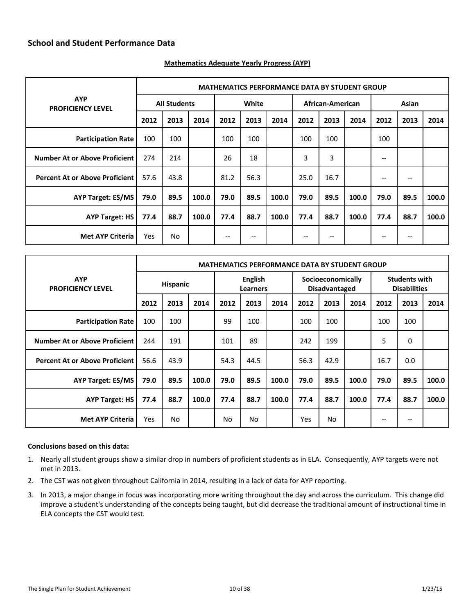|                                         |                     | <b>MATHEMATICS PERFORMANCE DATA BY STUDENT GROUP</b> |       |       |       |       |      |                  |       |      |       |       |  |  |
|-----------------------------------------|---------------------|------------------------------------------------------|-------|-------|-------|-------|------|------------------|-------|------|-------|-------|--|--|
| <b>AYP</b><br><b>PROFICIENCY LEVEL</b>  | <b>All Students</b> |                                                      |       |       | White |       |      | African-American |       |      | Asian |       |  |  |
|                                         | 2012                | 2013                                                 | 2014  | 2012  | 2013  | 2014  | 2012 | 2013             | 2014  | 2012 | 2013  | 2014  |  |  |
| <b>Participation Rate</b>               | 100                 | 100                                                  |       | 100   | 100   |       | 100  | 100              |       | 100  |       |       |  |  |
| Number At or Above Proficient I         | 274                 | 214                                                  |       | 26    | 18    |       | 3    | 3                |       | --   |       |       |  |  |
| <b>Percent At or Above Proficient  </b> | 57.6                | 43.8                                                 |       | 81.2  | 56.3  |       | 25.0 | 16.7             |       | --   | --    |       |  |  |
| <b>AYP Target: ES/MS</b>                | 79.0                | 89.5                                                 | 100.0 | 79.0  | 89.5  | 100.0 | 79.0 | 89.5             | 100.0 | 79.0 | 89.5  | 100.0 |  |  |
| <b>AYP Target: HS</b>                   | 77.4                | 88.7                                                 | 100.0 | 77.4  | 88.7  | 100.0 | 77.4 | 88.7             | 100.0 | 77.4 | 88.7  | 100.0 |  |  |
| <b>Met AYP Criteria</b>                 | Yes                 | No.                                                  |       | $- -$ | --    |       | --   | --               |       | --   | --    |       |  |  |

#### <span id="page-9-0"></span>**Mathematics Adequate Yearly Progress (AYP)**

|                                         |                 |      |       |                            |      | <b>MATHEMATICS PERFORMANCE DATA BY STUDENT GROUP</b> |                                           |           |       |                                             |      |       |
|-----------------------------------------|-----------------|------|-------|----------------------------|------|------------------------------------------------------|-------------------------------------------|-----------|-------|---------------------------------------------|------|-------|
| <b>AYP</b><br><b>PROFICIENCY LEVEL</b>  | <b>Hispanic</b> |      |       | <b>English</b><br>Learners |      |                                                      | Socioeconomically<br><b>Disadvantaged</b> |           |       | <b>Students with</b><br><b>Disabilities</b> |      |       |
|                                         | 2012            | 2013 | 2014  | 2012                       | 2013 | 2014                                                 | 2012                                      | 2013      | 2014  | 2012                                        | 2013 | 2014  |
| <b>Participation Rate</b>               | 100             | 100  |       | 99                         | 100  |                                                      | 100                                       | 100       |       | 100                                         | 100  |       |
| <b>Number At or Above Proficient</b>    | 244             | 191  |       | 101                        | 89   |                                                      | 242                                       | 199       |       | 5                                           | 0    |       |
| <b>Percent At or Above Proficient I</b> | 56.6            | 43.9 |       | 54.3                       | 44.5 |                                                      | 56.3                                      | 42.9      |       | 16.7                                        | 0.0  |       |
| <b>AYP Target: ES/MS</b>                | 79.0            | 89.5 | 100.0 | 79.0                       | 89.5 | 100.0                                                | 79.0                                      | 89.5      | 100.0 | 79.0                                        | 89.5 | 100.0 |
| <b>AYP Target: HS</b>                   | 77.4            | 88.7 | 100.0 | 77.4                       | 88.7 | 100.0                                                | 77.4                                      | 88.7      | 100.0 | 77.4                                        | 88.7 | 100.0 |
| <b>Met AYP Criteria</b>                 | Yes             | No.  |       | <b>No</b>                  | No   |                                                      | Yes                                       | <b>No</b> |       |                                             | --   |       |

- 1. Nearly all student groups show a similar drop in numbers of proficient students as in ELA. Consequently, AYP targets were not met in 2013.
- 2. The CST was not given throughout California in 2014, resulting in a lack of data for AYP reporting.
- 3. In 2013, a major change in focus was incorporating more writing throughout the day and across the curriculum. This change did improve a student's understanding of the concepts being taught, but did decrease the traditional amount of instructional time in ELA concepts the CST would test.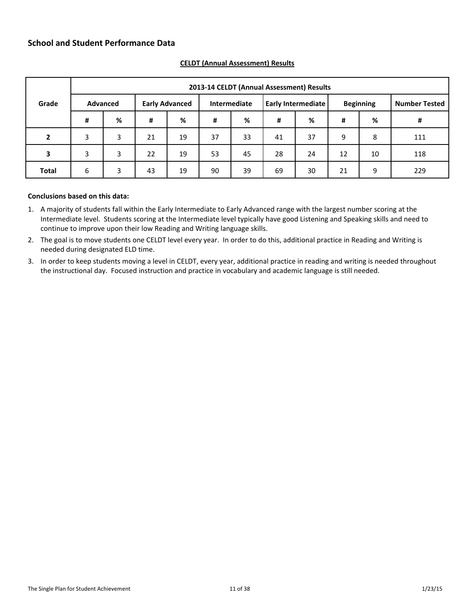|              | 2013-14 CELDT (Annual Assessment) Results |   |                       |    |              |    |                           |    |                  |    |                      |  |  |
|--------------|-------------------------------------------|---|-----------------------|----|--------------|----|---------------------------|----|------------------|----|----------------------|--|--|
| Grade        | <b>Advanced</b>                           |   | <b>Early Advanced</b> |    | Intermediate |    | <b>Early Intermediate</b> |    | <b>Beginning</b> |    | <b>Number Tested</b> |  |  |
|              | #                                         | % | #                     | %  | #            | %  | #                         | %  | #                | %  | #                    |  |  |
| $\mathbf{2}$ | 3                                         | 3 | 21                    | 19 | 37           | 33 | 41                        | 37 | 9                | 8  | 111                  |  |  |
| 3            | 3                                         | 3 | 22                    | 19 | 53           | 45 | 28                        | 24 | 12               | 10 | 118                  |  |  |
| <b>Total</b> | 6                                         | 3 | 43                    | 19 | 90           | 39 | 69                        | 30 | 21               | 9  | 229                  |  |  |

### <span id="page-10-0"></span>**CELDT (Annual Assessment) Results**

- 1. A majority of students fall within the Early Intermediate to Early Advanced range with the largest number scoring at the Intermediate level. Students scoring at the Intermediate level typically have good Listening and Speaking skills and need to continue to improve upon their low Reading and Writing language skills.
- 2. The goal is to move students one CELDT level every year. In order to do this, additional practice in Reading and Writing is needed during designated ELD time.
- 3. In order to keep students moving a level in CELDT, every year, additional practice in reading and writing is needed throughout the instructional day. Focused instruction and practice in vocabulary and academic language is still needed.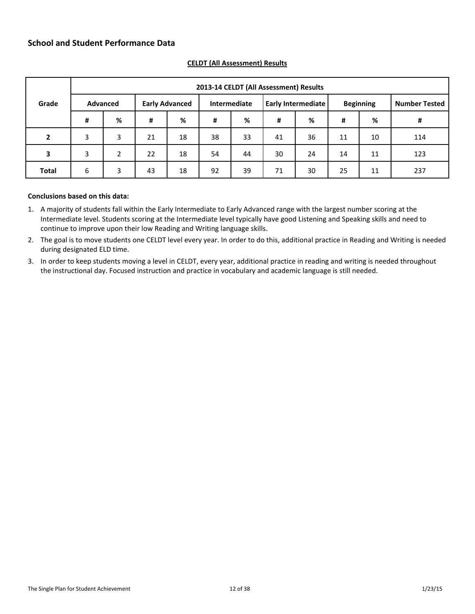|              |          |   | 2013-14 CELDT (All Assessment) Results |    |    |              |    |                           |    |                  |                      |  |
|--------------|----------|---|----------------------------------------|----|----|--------------|----|---------------------------|----|------------------|----------------------|--|
| Grade        | Advanced |   | <b>Early Advanced</b>                  |    |    | Intermediate |    | <b>Early Intermediate</b> |    | <b>Beginning</b> | <b>Number Tested</b> |  |
|              | #        | % | #                                      | %  | #  | %            | #  | %                         | #  | %                | #                    |  |
| $\mathbf{2}$ | 3        | 3 | 21                                     | 18 | 38 | 33           | 41 | 36                        | 11 | 10               | 114                  |  |
| 3            | 3        | 2 | 22                                     | 18 | 54 | 44           | 30 | 24                        | 14 | 11               | 123                  |  |
| <b>Total</b> | 6        | 3 | 43                                     | 18 | 92 | 39           | 71 | 30                        | 25 | 11               | 237                  |  |

## <span id="page-11-0"></span>**CELDT (All Assessment) Results**

- 1. A majority of students fall within the Early Intermediate to Early Advanced range with the largest number scoring at the Intermediate level. Students scoring at the Intermediate level typically have good Listening and Speaking skills and need to continue to improve upon their low Reading and Writing language skills.
- 2. The goal is to move students one CELDT level every year. In order to do this, additional practice in Reading and Writing is needed during designated ELD time.
- 3. In order to keep students moving a level in CELDT, every year, additional practice in reading and writing is needed throughout the instructional day. Focused instruction and practice in vocabulary and academic language is still needed.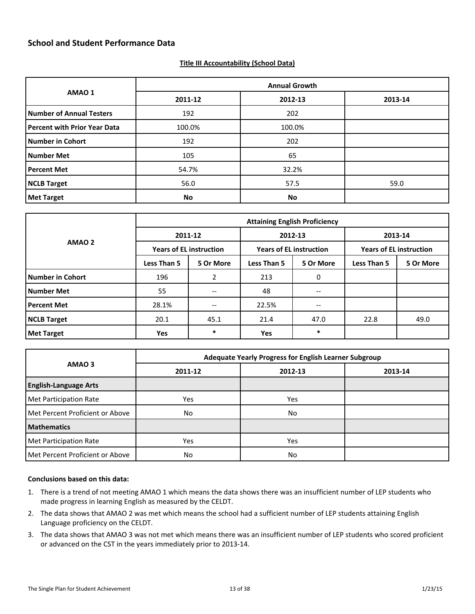#### <span id="page-12-0"></span>**Title III Accountability (School Data)**

| AMAO <sub>1</sub>               | <b>Annual Growth</b> |         |         |  |  |  |  |
|---------------------------------|----------------------|---------|---------|--|--|--|--|
|                                 | 2011-12              | 2012-13 | 2013-14 |  |  |  |  |
| <b>Number of Annual Testers</b> | 192                  | 202     |         |  |  |  |  |
| Percent with Prior Year Data    | 100.0%               | 100.0%  |         |  |  |  |  |
| <b>Number in Cohort</b>         | 192                  | 202     |         |  |  |  |  |
| <b>Number Met</b>               | 105                  | 65      |         |  |  |  |  |
| <b>Percent Met</b>              | 54.7%                | 32.2%   |         |  |  |  |  |
| <b>NCLB Target</b>              | 56.0                 | 57.5    | 59.0    |  |  |  |  |
| <b>Met Target</b>               | <b>No</b>            | No      |         |  |  |  |  |

| AMAO <sub>2</sub>  | <b>Attaining English Proficiency</b> |                   |                                |           |                                |           |  |  |
|--------------------|--------------------------------------|-------------------|--------------------------------|-----------|--------------------------------|-----------|--|--|
|                    | 2011-12                              |                   |                                | 2012-13   | 2013-14                        |           |  |  |
|                    | <b>Years of EL instruction</b>       |                   | <b>Years of EL instruction</b> |           | <b>Years of EL instruction</b> |           |  |  |
|                    | <b>Less Than 5</b>                   | 5 Or More         | <b>Less Than 5</b>             | 5 Or More | Less Than 5                    | 5 Or More |  |  |
| Number in Cohort   | 196                                  |                   | 213                            | 0         |                                |           |  |  |
| l Number Met       | 55                                   |                   | 48                             |           |                                |           |  |  |
| <b>Percent Met</b> | 28.1%                                | $\qquad \qquad -$ | 22.5%                          | $- -$     |                                |           |  |  |
| NCLB Target        | 20.1                                 | 45.1              | 21.4                           | 47.0      | 22.8                           | 49.0      |  |  |
| Met Target         | Yes                                  | $\ast$            | Yes                            | *         |                                |           |  |  |

|                                 | <b>Adequate Yearly Progress for English Learner Subgroup</b> |         |         |  |  |  |  |  |
|---------------------------------|--------------------------------------------------------------|---------|---------|--|--|--|--|--|
| AMAO <sub>3</sub>               | 2011-12                                                      | 2012-13 | 2013-14 |  |  |  |  |  |
| <b>English-Language Arts</b>    |                                                              |         |         |  |  |  |  |  |
| Met Participation Rate          | Yes                                                          | Yes     |         |  |  |  |  |  |
| Met Percent Proficient or Above | No                                                           | No      |         |  |  |  |  |  |
| Mathematics                     |                                                              |         |         |  |  |  |  |  |
| Met Participation Rate          | Yes                                                          | Yes     |         |  |  |  |  |  |
| Met Percent Proficient or Above | No                                                           | No      |         |  |  |  |  |  |

- 1. There is a trend of not meeting AMAO 1 which means the data shows there was an insufficient number of LEP students who made progress in learning English as measured by the CELDT.
- 2. The data shows that AMAO 2 was met which means the school had a sufficient number of LEP students attaining English Language proficiency on the CELDT.
- 3. The data shows that AMAO 3 was not met which means there was an insufficient number of LEP students who scored proficient or advanced on the CST in the years immediately prior to 2013-14.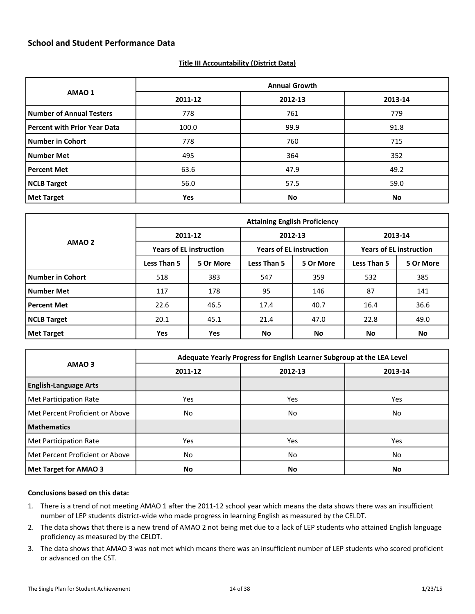#### <span id="page-13-0"></span>**Title III Accountability (District Data)**

| AMAO 1                              | <b>Annual Growth</b> |         |         |  |  |  |  |
|-------------------------------------|----------------------|---------|---------|--|--|--|--|
|                                     | 2011-12              | 2012-13 | 2013-14 |  |  |  |  |
| <b>Number of Annual Testers</b>     | 778                  | 761     | 779     |  |  |  |  |
| <b>Percent with Prior Year Data</b> | 100.0                | 99.9    | 91.8    |  |  |  |  |
| <b>Number in Cohort</b>             | 778                  | 760     | 715     |  |  |  |  |
| <b>Number Met</b>                   | 495                  | 364     | 352     |  |  |  |  |
| <b>Percent Met</b>                  | 63.6                 | 47.9    | 49.2    |  |  |  |  |
| <b>NCLB Target</b>                  | 56.0                 | 57.5    | 59.0    |  |  |  |  |
| <b>Met Target</b>                   | Yes                  | No.     | No      |  |  |  |  |

|                         | <b>Attaining English Proficiency</b> |           |                                |           |                                |           |  |  |  |
|-------------------------|--------------------------------------|-----------|--------------------------------|-----------|--------------------------------|-----------|--|--|--|
| AMAO <sub>2</sub>       | 2011-12                              |           |                                | 2012-13   |                                | 2013-14   |  |  |  |
|                         | <b>Years of EL instruction</b>       |           | <b>Years of EL instruction</b> |           | <b>Years of EL instruction</b> |           |  |  |  |
|                         | Less Than 5                          | 5 Or More | <b>Less Than 5</b>             | 5 Or More | <b>Less Than 5</b>             | 5 Or More |  |  |  |
| <b>Number in Cohort</b> | 518                                  | 383       | 547                            | 359       | 532                            | 385       |  |  |  |
| <b>Number Met</b>       | 117                                  | 178       | 95                             | 146       | 87                             | 141       |  |  |  |
| <b>Percent Met</b>      | 22.6                                 | 46.5      | 17.4                           | 40.7      | 16.4                           | 36.6      |  |  |  |
| <b>NCLB Target</b>      | 20.1                                 | 45.1      | 21.4                           | 47.0      | 22.8                           | 49.0      |  |  |  |
| <b>Met Target</b>       | Yes                                  | Yes       | No                             | No        | No                             | <b>No</b> |  |  |  |

| AMAO <sub>3</sub>                 | Adequate Yearly Progress for English Learner Subgroup at the LEA Level |         |         |  |  |  |  |
|-----------------------------------|------------------------------------------------------------------------|---------|---------|--|--|--|--|
|                                   | 2011-12                                                                | 2012-13 | 2013-14 |  |  |  |  |
| <b>English-Language Arts</b>      |                                                                        |         |         |  |  |  |  |
| Met Participation Rate            | <b>Yes</b>                                                             | Yes     | Yes     |  |  |  |  |
| l Met Percent Proficient or Above | <b>No</b>                                                              | No      | No      |  |  |  |  |
| <b>Mathematics</b>                |                                                                        |         |         |  |  |  |  |
| Met Participation Rate            | Yes                                                                    | Yes     | Yes     |  |  |  |  |
| l Met Percent Proficient or Above | No                                                                     | No      | No      |  |  |  |  |
| <b>Met Target for AMAO 3</b>      | No                                                                     | No      | No      |  |  |  |  |

- 1. There is a trend of not meeting AMAO 1 after the 2011-12 school year which means the data shows there was an insufficient number of LEP students district-wide who made progress in learning English as measured by the CELDT.
- 2. The data shows that there is a new trend of AMAO 2 not being met due to a lack of LEP students who attained English language proficiency as measured by the CELDT.
- 3. The data shows that AMAO 3 was not met which means there was an insufficient number of LEP students who scored proficient or advanced on the CST.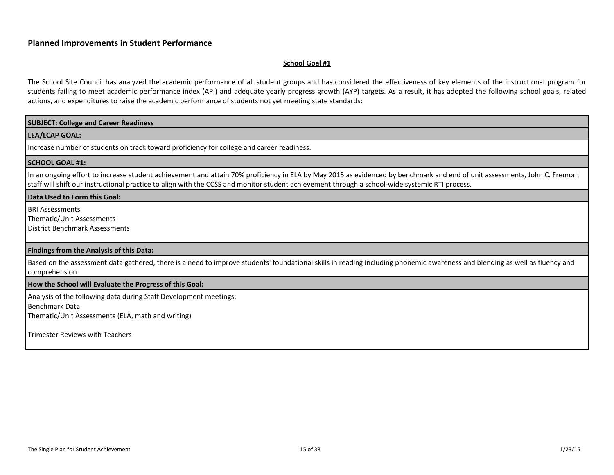#### <span id="page-14-1"></span>**School Goal #1**

The School Site Council has analyzed the academic performance of all student groups and has considered the effectiveness of key elements of the instructional program for students failing to meet academic performance index (API) and adequate yearly progress growth (AYP) targets. As a result, it has adopted the following school goals, related actions, and expenditures to raise the academic performance of students not yet meeting state standards:

#### **SUBJECT: College and Career Readiness**

#### **LEA/LCAP GOAL:**

Increase number of students on track toward proficiency for college and career readiness.

#### **SCHOOL GOAL #1:**

<span id="page-14-0"></span>In an ongoing effort to increase student achievement and attain 70% proficiency in ELA by May 2015 as evidenced by benchmark and end of unit assessments, John C. Fremont staff will shift our instructional practice to align with the CCSS and monitor student achievement through a school-wide systemic RTI process.

**Data Used to Form this Goal:**

BRI Assessments

Thematic/Unit Assessments

District Benchmark Assessments

#### **Findings from the Analysis of this Data:**

Based on the assessment data gathered, there is a need to improve students' foundational skills in reading including phonemic awareness and blending as well as fluency and comprehension.

#### **How the School will Evaluate the Progress of this Goal:**

Analysis of the following data during Staff Development meetings:

Benchmark Data

Thematic/Unit Assessments (ELA, math and writing)

Trimester Reviews with Teachers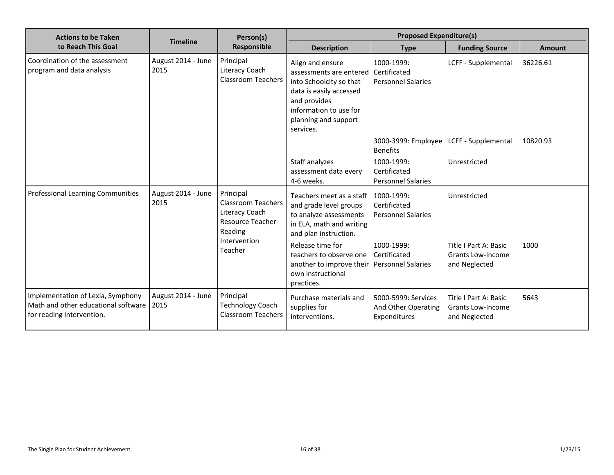| <b>Actions to be Taken</b>                                                                            |                                                                                  | Person(s)                                                                                                                         | <b>Proposed Expenditure(s)</b>                                                                                                                                                                |                                                            |                                                                    |               |  |
|-------------------------------------------------------------------------------------------------------|----------------------------------------------------------------------------------|-----------------------------------------------------------------------------------------------------------------------------------|-----------------------------------------------------------------------------------------------------------------------------------------------------------------------------------------------|------------------------------------------------------------|--------------------------------------------------------------------|---------------|--|
| to Reach This Goal                                                                                    | <b>Timeline</b>                                                                  | Responsible                                                                                                                       | <b>Description</b>                                                                                                                                                                            | <b>Type</b>                                                | <b>Funding Source</b>                                              | <b>Amount</b> |  |
| Coordination of the assessment<br>program and data analysis                                           | August 2014 - June<br>2015                                                       | Principal<br>Literacy Coach<br><b>Classroom Teachers</b>                                                                          | Align and ensure<br>assessments are entered Certificated<br>into Schoolcity so that<br>data is easily accessed<br>and provides<br>information to use for<br>planning and support<br>services. | 1000-1999:<br><b>Personnel Salaries</b>                    | LCFF - Supplemental                                                | 36226.61      |  |
|                                                                                                       |                                                                                  |                                                                                                                                   |                                                                                                                                                                                               | 3000-3999: Employee LCFF - Supplemental<br><b>Benefits</b> |                                                                    | 10820.93      |  |
|                                                                                                       |                                                                                  |                                                                                                                                   | Staff analyzes<br>assessment data every<br>4-6 weeks.                                                                                                                                         | 1000-1999:<br>Certificated<br><b>Personnel Salaries</b>    | Unrestricted                                                       |               |  |
| Professional Learning Communities<br>August 2014 - June<br>2015                                       | Principal<br>Classroom Teachers<br>Literacy Coach<br>Resource Teacher<br>Reading | Teachers meet as a staff<br>and grade level groups<br>to analyze assessments<br>in ELA, math and writing<br>and plan instruction. | 1000-1999:<br>Certificated<br><b>Personnel Salaries</b>                                                                                                                                       | Unrestricted                                               |                                                                    |               |  |
|                                                                                                       | Teacher                                                                          | Intervention                                                                                                                      | Release time for<br>teachers to observe one<br>another to improve their Personnel Salaries<br>own instructional<br>practices.                                                                 | 1000-1999:<br>Certificated                                 | Title I Part A: Basic<br><b>Grants Low-Income</b><br>and Neglected | 1000          |  |
| Implementation of Lexia, Symphony<br>Math and other educational software<br>for reading intervention. | August 2014 - June<br>2015                                                       | Principal<br><b>Technology Coach</b><br><b>Classroom Teachers</b>                                                                 | Purchase materials and<br>supplies for<br>interventions.                                                                                                                                      | 5000-5999: Services<br>And Other Operating<br>Expenditures | Title I Part A: Basic<br><b>Grants Low-Income</b><br>and Neglected | 5643          |  |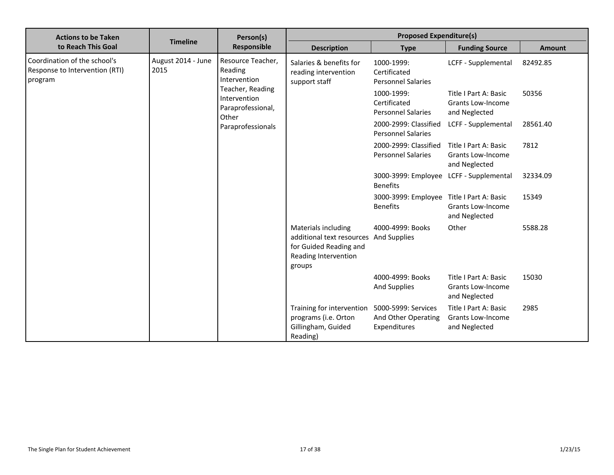| <b>Actions to be Taken</b>                                                |                            | Person(s)                                                                                                                 |                                                                  | <b>Proposed Expenditure(s)</b>                                     |                                                                    |               |  |  |  |  |  |                                                            |  |                                                    |                                                                    |      |
|---------------------------------------------------------------------------|----------------------------|---------------------------------------------------------------------------------------------------------------------------|------------------------------------------------------------------|--------------------------------------------------------------------|--------------------------------------------------------------------|---------------|--|--|--|--|--|------------------------------------------------------------|--|----------------------------------------------------|--------------------------------------------------------------------|------|
| to Reach This Goal                                                        | <b>Timeline</b>            | <b>Responsible</b>                                                                                                        | <b>Description</b>                                               | <b>Type</b>                                                        | <b>Funding Source</b>                                              | <b>Amount</b> |  |  |  |  |  |                                                            |  |                                                    |                                                                    |      |
| Coordination of the school's<br>Response to Intervention (RTI)<br>program | August 2014 - June<br>2015 | Resource Teacher.<br>Reading<br>Intervention                                                                              | Salaries & benefits for<br>reading intervention<br>support staff | 1000-1999:<br>Certificated<br><b>Personnel Salaries</b>            | LCFF - Supplemental                                                | 82492.85      |  |  |  |  |  |                                                            |  |                                                    |                                                                    |      |
|                                                                           |                            | Teacher, Reading<br>Intervention<br>Paraprofessional,<br>Other                                                            |                                                                  | 1000-1999:<br>Certificated<br><b>Personnel Salaries</b>            | Title I Part A: Basic<br><b>Grants Low-Income</b><br>and Neglected | 50356         |  |  |  |  |  |                                                            |  |                                                    |                                                                    |      |
|                                                                           | Paraprofessionals          |                                                                                                                           | 2000-2999: Classified<br><b>Personnel Salaries</b>               | LCFF - Supplemental                                                | 28561.40                                                           |               |  |  |  |  |  |                                                            |  |                                                    |                                                                    |      |
|                                                                           |                            |                                                                                                                           |                                                                  |                                                                    |                                                                    |               |  |  |  |  |  |                                                            |  | 2000-2999: Classified<br><b>Personnel Salaries</b> | Title I Part A: Basic<br><b>Grants Low-Income</b><br>and Neglected | 7812 |
|                                                                           |                            |                                                                                                                           |                                                                  |                                                                    |                                                                    |               |  |  |  |  |  | 3000-3999: Employee LCFF - Supplemental<br><b>Benefits</b> |  | 32334.09                                           |                                                                    |      |
|                                                                           |                            |                                                                                                                           |                                                                  | 3000-3999: Employee<br><b>Benefits</b>                             | Title I Part A: Basic<br>Grants Low-Income<br>and Neglected        | 15349         |  |  |  |  |  |                                                            |  |                                                    |                                                                    |      |
|                                                                           |                            | Materials including<br>additional text resources And Supplies<br>for Guided Reading and<br>Reading Intervention<br>groups | 4000-4999: Books                                                 | Other                                                              | 5588.28                                                            |               |  |  |  |  |  |                                                            |  |                                                    |                                                                    |      |
|                                                                           |                            |                                                                                                                           | 4000-4999: Books<br><b>And Supplies</b>                          | Title I Part A: Basic<br><b>Grants Low-Income</b><br>and Neglected | 15030                                                              |               |  |  |  |  |  |                                                            |  |                                                    |                                                                    |      |
|                                                                           |                            | Training for intervention<br>programs (i.e. Orton<br>Gillingham, Guided<br>Reading)                                       | 5000-5999: Services<br>And Other Operating<br>Expenditures       | Title I Part A: Basic<br><b>Grants Low-Income</b><br>and Neglected | 2985                                                               |               |  |  |  |  |  |                                                            |  |                                                    |                                                                    |      |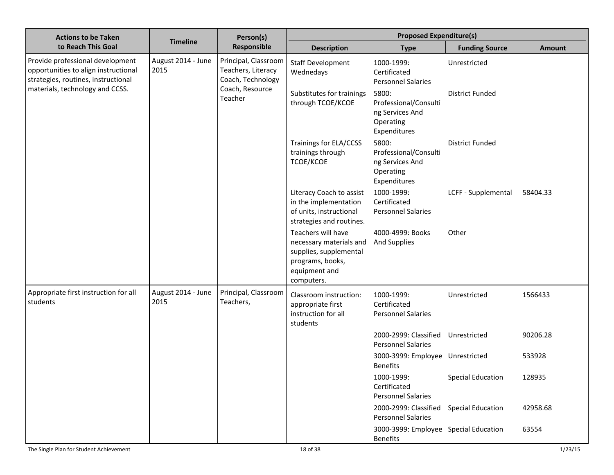| <b>Actions to be Taken</b>                                                                                      |                            | Person(s)                                                       | <b>Proposed Expenditure(s)</b>                                                                                             |                                                                                |                          |          |         |
|-----------------------------------------------------------------------------------------------------------------|----------------------------|-----------------------------------------------------------------|----------------------------------------------------------------------------------------------------------------------------|--------------------------------------------------------------------------------|--------------------------|----------|---------|
| to Reach This Goal                                                                                              | <b>Timeline</b>            | Responsible                                                     | <b>Description</b>                                                                                                         | <b>Type</b>                                                                    | <b>Funding Source</b>    | Amount   |         |
| Provide professional development<br>opportunities to align instructional<br>strategies, routines, instructional | August 2014 - June<br>2015 | Principal, Classroom<br>Teachers, Literacy<br>Coach, Technology | <b>Staff Development</b><br>Wednedays                                                                                      | 1000-1999:<br>Certificated<br><b>Personnel Salaries</b>                        | Unrestricted             |          |         |
| materials, technology and CCSS.                                                                                 |                            | Coach, Resource<br>Teacher                                      | Substitutes for trainings<br>through TCOE/KCOE                                                                             | 5800:<br>Professional/Consulti<br>ng Services And<br>Operating<br>Expenditures | <b>District Funded</b>   |          |         |
|                                                                                                                 |                            |                                                                 | Trainings for ELA/CCSS<br>trainings through<br>TCOE/KCOE                                                                   | 5800:<br>Professional/Consulti<br>ng Services And<br>Operating<br>Expenditures | <b>District Funded</b>   |          |         |
|                                                                                                                 |                            |                                                                 | Literacy Coach to assist<br>in the implementation<br>of units, instructional<br>strategies and routines.                   | 1000-1999:<br>Certificated<br><b>Personnel Salaries</b>                        | LCFF - Supplemental      | 58404.33 |         |
|                                                                                                                 |                            |                                                                 | Teachers will have<br>necessary materials and<br>supplies, supplemental<br>programs, books,<br>equipment and<br>computers. | 4000-4999: Books<br><b>And Supplies</b>                                        | Other                    |          |         |
| Appropriate first instruction for all<br>students                                                               | August 2014 - June<br>2015 | Principal, Classroom<br>Teachers,                               | Classroom instruction:<br>appropriate first<br>instruction for all<br>students                                             | 1000-1999:<br>Certificated<br><b>Personnel Salaries</b>                        | Unrestricted             | 1566433  |         |
|                                                                                                                 |                            |                                                                 |                                                                                                                            | 2000-2999: Classified<br><b>Personnel Salaries</b>                             | Unrestricted             | 90206.28 |         |
|                                                                                                                 |                            |                                                                 |                                                                                                                            | 3000-3999: Employee Unrestricted<br><b>Benefits</b>                            |                          | 533928   |         |
|                                                                                                                 |                            |                                                                 |                                                                                                                            | 1000-1999:<br>Certificated<br><b>Personnel Salaries</b>                        | <b>Special Education</b> | 128935   |         |
|                                                                                                                 |                            |                                                                 |                                                                                                                            | 2000-2999: Classified Special Education<br><b>Personnel Salaries</b>           |                          | 42958.68 |         |
|                                                                                                                 |                            |                                                                 |                                                                                                                            | 3000-3999: Employee Special Education<br><b>Benefits</b>                       |                          | 63554    |         |
| The Single Plan for Student Achievement                                                                         |                            |                                                                 | 18 of 38                                                                                                                   |                                                                                |                          |          | 1/23/15 |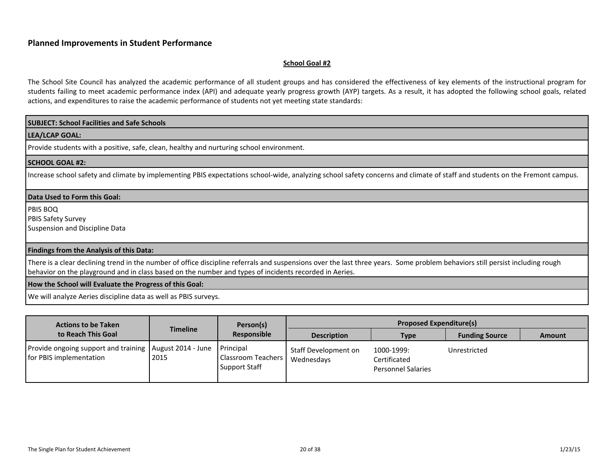#### <span id="page-19-0"></span>**School Goal #2**

The School Site Council has analyzed the academic performance of all student groups and has considered the effectiveness of key elements of the instructional program for students failing to meet academic performance index (API) and adequate yearly progress growth (AYP) targets. As a result, it has adopted the following school goals, related actions, and expenditures to raise the academic performance of students not yet meeting state standards:

#### **SUBJECT: School Facilities and Safe Schools**

#### **LEA/LCAP GOAL:**

Provide students with a positive, safe, clean, healthy and nurturing school environment.

#### **SCHOOL GOAL #2:**

Increase school safety and climate by implementing PBIS expectations school-wide, analyzing school safety concerns and climate of staff and students on the Fremont campus.

#### **Data Used to Form this Goal:**

PBIS BOQ

PBIS Safety Survey

Suspension and Discipline Data

#### **Findings from the Analysis of this Data:**

There is a clear declining trend in the number of office discipline referrals and suspensions over the last three years. Some problem behaviors still persist including rough behavior on the playground and in class based on the number and types of incidents recorded in Aeries.

#### **How the School will Evaluate the Progress of this Goal:**

We will analyze Aeries discipline data as well as PBIS surveys.

| <b>Actions to be Taken</b><br>to Reach This Goal                                                 |                 | Person(s)                                    |                                    | <b>Proposed Expenditure(s)</b>                          |                       |        |
|--------------------------------------------------------------------------------------------------|-----------------|----------------------------------------------|------------------------------------|---------------------------------------------------------|-----------------------|--------|
|                                                                                                  | <b>Timeline</b> | <b>Responsible</b>                           | <b>Description</b>                 | Type                                                    | <b>Funding Source</b> | Amount |
| Provide ongoing support and training   August 2014 - June   Principal<br>for PBIS implementation | 2015            | Classroom Teachers  <br><b>Support Staff</b> | Staff Development on<br>Wednesdays | 1000-1999:<br>Certificated<br><b>Personnel Salaries</b> | Unrestricted          |        |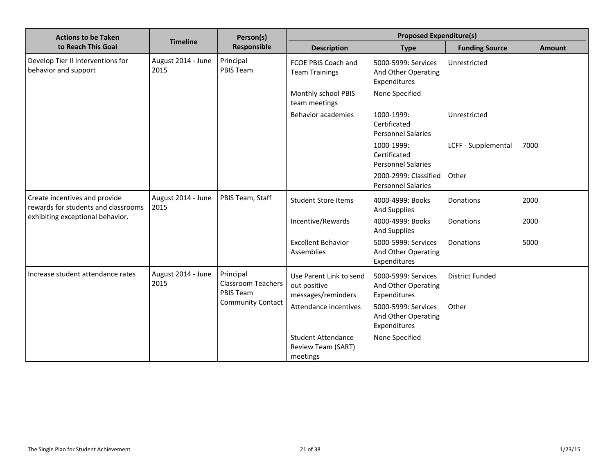| <b>Actions to be Taken</b>                                           |                            | Person(s)                                                  | <b>Proposed Expenditure(s)</b>                                |                                                            |                        |               |
|----------------------------------------------------------------------|----------------------------|------------------------------------------------------------|---------------------------------------------------------------|------------------------------------------------------------|------------------------|---------------|
| to Reach This Goal                                                   | <b>Timeline</b>            | <b>Responsible</b>                                         | <b>Description</b>                                            | <b>Type</b>                                                | <b>Funding Source</b>  | <b>Amount</b> |
| Develop Tier II Interventions for<br>behavior and support            | August 2014 - June<br>2015 | Principal<br>PBIS Team                                     | FCOE PBIS Coach and<br><b>Team Trainings</b>                  | 5000-5999: Services<br>And Other Operating<br>Expenditures | Unrestricted           |               |
|                                                                      |                            |                                                            | Monthly school PBIS<br>team meetings                          | None Specified                                             |                        |               |
|                                                                      |                            |                                                            | <b>Behavior academies</b>                                     | 1000-1999:<br>Certificated<br><b>Personnel Salaries</b>    | Unrestricted           |               |
|                                                                      |                            |                                                            |                                                               | 1000-1999:<br>Certificated<br><b>Personnel Salaries</b>    | LCFF - Supplemental    | 7000          |
|                                                                      |                            |                                                            |                                                               | 2000-2999: Classified<br><b>Personnel Salaries</b>         | Other                  |               |
| Create incentives and provide<br>rewards for students and classrooms | August 2014 - June<br>2015 | PBIS Team, Staff                                           | <b>Student Store Items</b>                                    | 4000-4999: Books<br><b>And Supplies</b>                    | Donations              | 2000          |
| exhibiting exceptional behavior.                                     |                            |                                                            | Incentive/Rewards                                             | 4000-4999: Books<br>And Supplies                           | <b>Donations</b>       | 2000          |
|                                                                      |                            |                                                            | <b>Excellent Behavior</b><br>Assemblies                       | 5000-5999: Services<br>And Other Operating<br>Expenditures | Donations              | 5000          |
| Increase student attendance rates                                    | August 2014 - June<br>2015 | Principal<br><b>Classroom Teachers</b><br><b>PBIS Team</b> | Use Parent Link to send<br>out positive<br>messages/reminders | 5000-5999: Services<br>And Other Operating<br>Expenditures | <b>District Funded</b> |               |
|                                                                      |                            | <b>Community Contact</b>                                   | Attendance incentives                                         | 5000-5999: Services<br>And Other Operating<br>Expenditures | Other                  |               |
|                                                                      |                            |                                                            | <b>Student Attendance</b><br>Review Team (SART)<br>meetings   | None Specified                                             |                        |               |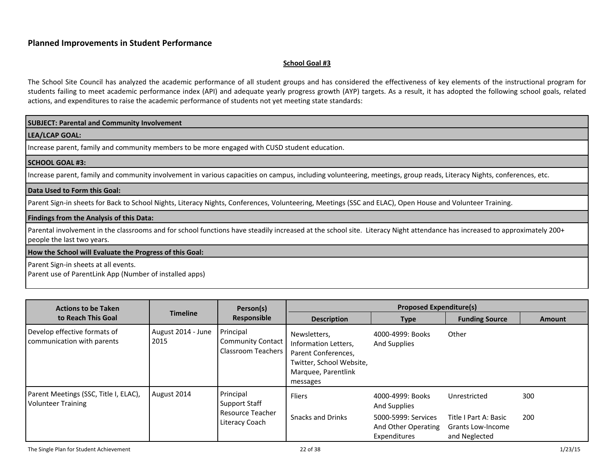#### <span id="page-21-0"></span>**School Goal #3**

The School Site Council has analyzed the academic performance of all student groups and has considered the effectiveness of key elements of the instructional program for students failing to meet academic performance index (API) and adequate yearly progress growth (AYP) targets. As a result, it has adopted the following school goals, related actions, and expenditures to raise the academic performance of students not yet meeting state standards:

#### **SUBJECT: Parental and Community Involvement**

**LEA/LCAP GOAL:**

Increase parent, family and community members to be more engaged with CUSD student education.

#### **SCHOOL GOAL #3:**

Increase parent, family and community involvement in various capacities on campus, including volunteering, meetings, group reads, Literacy Nights, conferences, etc.

#### **Data Used to Form this Goal:**

Parent Sign-in sheets for Back to School Nights, Literacy Nights, Conferences, Volunteering, Meetings (SSC and ELAC), Open House and Volunteer Training.

#### **Findings from the Analysis of this Data:**

Parental involvement in the classrooms and for school functions have steadily increased at the school site. Literacy Night attendance has increased to approximately 200+ people the last two years.

#### **How the School will Evaluate the Progress of this Goal:**

Parent Sign-in sheets at all events. Parent use of ParentLink App (Number of installed apps)

| <b>Actions to be Taken</b>                                                        |                            | Person(s)                                                          |                                                                                                                            | <b>Proposed Expenditure(s)</b>                             |                                                             |               |
|-----------------------------------------------------------------------------------|----------------------------|--------------------------------------------------------------------|----------------------------------------------------------------------------------------------------------------------------|------------------------------------------------------------|-------------------------------------------------------------|---------------|
| to Reach This Goal                                                                | <b>Timeline</b>            | Responsible                                                        | <b>Description</b>                                                                                                         | <b>Type</b>                                                | <b>Funding Source</b>                                       | <b>Amount</b> |
| Develop effective formats of<br>communication with parents                        | August 2014 - June<br>2015 | Principal<br><b>Community Contact</b><br><b>Classroom Teachers</b> | Newsletters,<br>Information Letters,<br>Parent Conferences,<br>Twitter, School Website,<br>Marquee, Parentlink<br>messages | 4000-4999: Books<br>And Supplies                           | Other                                                       |               |
| Parent Meetings (SSC, Title I, ELAC),<br>August 2014<br><b>Volunteer Training</b> | Principal<br>Support Staff | <b>Fliers</b>                                                      | 4000-4999: Books<br><b>And Supplies</b>                                                                                    | Unrestricted                                               | 300                                                         |               |
|                                                                                   |                            | Resource Teacher<br>Literacy Coach                                 | <b>Snacks and Drinks</b>                                                                                                   | 5000-5999: Services<br>And Other Operating<br>Expenditures | Title I Part A: Basic<br>Grants Low-Income<br>and Neglected | 200           |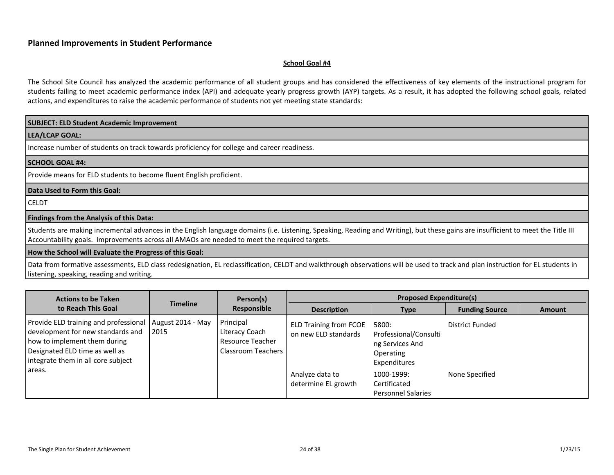#### <span id="page-23-0"></span>**School Goal #4**

The School Site Council has analyzed the academic performance of all student groups and has considered the effectiveness of key elements of the instructional program for students failing to meet academic performance index (API) and adequate yearly progress growth (AYP) targets. As a result, it has adopted the following school goals, related actions, and expenditures to raise the academic performance of students not yet meeting state standards:

#### **SUBJECT: ELD Student Academic Improvement**

#### **LEA/LCAP GOAL:**

Increase number of students on track towards proficiency for college and career readiness.

#### **SCHOOL GOAL #4:**

Provide means for ELD students to become fluent English proficient.

#### **Data Used to Form this Goal:**

CELDT**--------**

#### **Findings from the Analysis of this Data:**

Students are making incremental advances in the English language domains (i.e. Listening, Speaking, Reading and Writing), but these gains are insufficient to meet the Title III Accountability goals. Improvements across all AMAOs are needed to meet the required targets.

#### **How the School will Evaluate the Progress of this Goal:**

Data from formative assessments, ELD class redesignation, EL reclassification, CELDT and walkthrough observations will be used to track and plan instruction for EL students in listening, speaking, reading and writing.

| <b>Actions to be Taken</b>                                                                                                                                                         |                             | Person(s)                                                               |                                                       | <b>Proposed Expenditure(s)</b>                                                 |                       |               |  |
|------------------------------------------------------------------------------------------------------------------------------------------------------------------------------------|-----------------------------|-------------------------------------------------------------------------|-------------------------------------------------------|--------------------------------------------------------------------------------|-----------------------|---------------|--|
| to Reach This Goal                                                                                                                                                                 | <b>Timeline</b>             | <b>Responsible</b>                                                      | <b>Description</b>                                    | <b>Type</b>                                                                    | <b>Funding Source</b> | <b>Amount</b> |  |
| Provide ELD training and professional<br>development for new standards and<br>how to implement them during<br>Designated ELD time as well as<br>integrate them in all core subject | August 2014 - May<br>  2015 | Principal<br>Literacy Coach<br>l Resource Teacher<br>Classroom Teachers | <b>ELD Training from FCOE</b><br>on new ELD standards | 5800:<br>Professional/Consulti<br>ng Services And<br>Operating<br>Expenditures | District Funded       |               |  |
| areas.                                                                                                                                                                             |                             |                                                                         | Analyze data to<br>determine EL growth                | 1000-1999:<br>Certificated<br><b>Personnel Salaries</b>                        | None Specified        |               |  |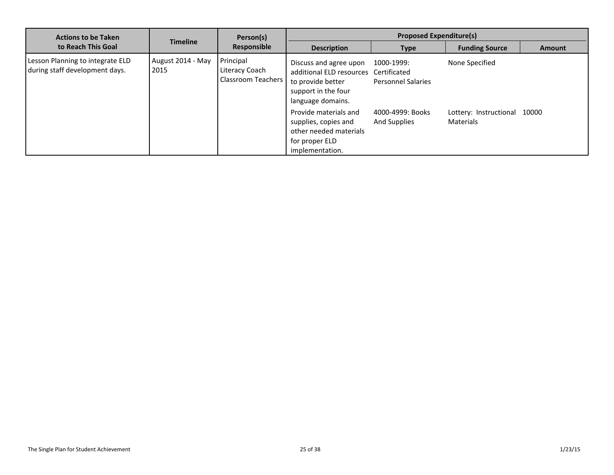| <b>Actions to be Taken</b>                                         |                           | Person(s)                                                | <b>Proposed Expenditure(s)</b>                                                                                                   |                                         |                                                  |               |  |
|--------------------------------------------------------------------|---------------------------|----------------------------------------------------------|----------------------------------------------------------------------------------------------------------------------------------|-----------------------------------------|--------------------------------------------------|---------------|--|
| to Reach This Goal                                                 | <b>Timeline</b>           | Responsible                                              | <b>Description</b>                                                                                                               | <b>Type</b>                             | <b>Funding Source</b>                            | <b>Amount</b> |  |
| Lesson Planning to integrate ELD<br>during staff development days. | August 2014 - May<br>2015 | Principal<br>Literacy Coach<br><b>Classroom Teachers</b> | Discuss and agree upon<br>additional ELD resources Certificated<br>to provide better<br>support in the four<br>language domains. | 1000-1999:<br><b>Personnel Salaries</b> | None Specified                                   |               |  |
|                                                                    |                           |                                                          | Provide materials and<br>supplies, copies and<br>other needed materials<br>for proper ELD<br>implementation.                     | 4000-4999: Books<br><b>And Supplies</b> | Lottery: Instructional 10000<br><b>Materials</b> |               |  |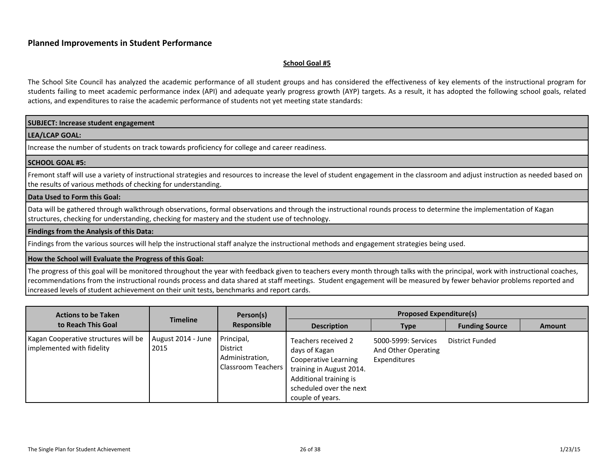#### <span id="page-25-0"></span>**School Goal #5**

The School Site Council has analyzed the academic performance of all student groups and has considered the effectiveness of key elements of the instructional program for students failing to meet academic performance index (API) and adequate yearly progress growth (AYP) targets. As a result, it has adopted the following school goals, related actions, and expenditures to raise the academic performance of students not yet meeting state standards:

#### **SUBJECT: Increase student engagement**

#### **LEA/LCAP GOAL:**

Increase the number of students on track towards proficiency for college and career readiness.

#### **SCHOOL GOAL #5:**

Fremont staff will use a variety of instructional strategies and resources to increase the level of student engagement in the classroom and adjust instruction as needed based on the results of various methods of checking for understanding.

#### **Data Used to Form this Goal:**

Data will be gathered through walkthrough observations, formal observations and through the instructional rounds process to determine the implementation of Kagan structures, checking for understanding, checking for mastery and the student use of technology.

#### **Findings from the Analysis of this Data:**

Findings from the various sources will help the instructional staff analyze the instructional methods and engagement strategies being used.

#### **How the School will Evaluate the Progress of this Goal:**

The progress of this goal will be monitored throughout the year with feedback given to teachers every month through talks with the principal, work with instructional coaches, recommendations from the instructional rounds process and data shared at staff meetings. Student engagement will be measured by fewer behavior problems reported and increased levels of student achievement on their unit tests, benchmarks and report cards.

| <b>Actions to be Taken</b>                                        |                            | Person(s)                                                              |                                                                                                                                                                   | <b>Proposed Expenditure(s)</b>                             |                       |               |
|-------------------------------------------------------------------|----------------------------|------------------------------------------------------------------------|-------------------------------------------------------------------------------------------------------------------------------------------------------------------|------------------------------------------------------------|-----------------------|---------------|
| to Reach This Goal                                                | <b>Timeline</b>            | Responsible                                                            | <b>Description</b>                                                                                                                                                | <b>Type</b>                                                | <b>Funding Source</b> | <b>Amount</b> |
| Kagan Cooperative structures will be<br>implemented with fidelity | August 2014 - June<br>2015 | Principal,<br>District<br>Administration,<br><b>Classroom Teachers</b> | Teachers received 2<br>days of Kagan<br>Cooperative Learning<br>training in August 2014.<br>Additional training is<br>scheduled over the next<br>couple of years. | 5000-5999: Services<br>And Other Operating<br>Expenditures | District Funded       |               |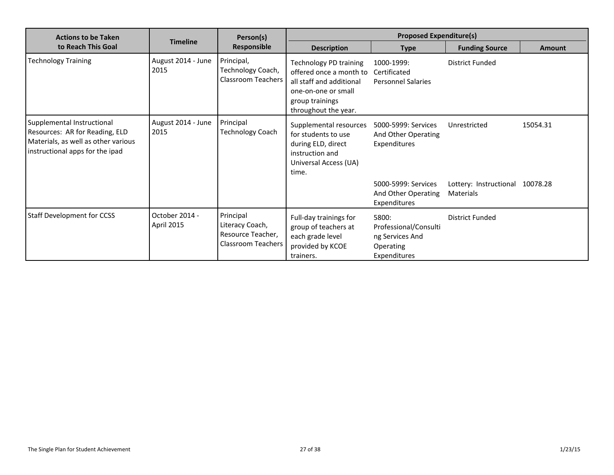| <b>Actions to be Taken</b>                                                                                                             | Person(s)                    |                                                                                |                                                                                                                                                        | <b>Proposed Expenditure(s)</b>                                                 |                                              |               |
|----------------------------------------------------------------------------------------------------------------------------------------|------------------------------|--------------------------------------------------------------------------------|--------------------------------------------------------------------------------------------------------------------------------------------------------|--------------------------------------------------------------------------------|----------------------------------------------|---------------|
| to Reach This Goal                                                                                                                     | <b>Timeline</b>              | Responsible                                                                    | <b>Description</b>                                                                                                                                     | <b>Type</b>                                                                    | <b>Funding Source</b>                        | <b>Amount</b> |
| <b>Technology Training</b>                                                                                                             | August 2014 - June<br>2015   | Principal,<br>Technology Coach,<br><b>Classroom Teachers</b>                   | <b>Technology PD training</b><br>offered once a month to<br>all staff and additional<br>one-on-one or small<br>group trainings<br>throughout the year. | 1000-1999:<br>Certificated<br><b>Personnel Salaries</b>                        | District Funded                              |               |
| Supplemental Instructional<br>Resources: AR for Reading, ELD<br>Materials, as well as other various<br>instructional apps for the ipad | August 2014 - June<br>2015   | Principal<br><b>Technology Coach</b>                                           | Supplemental resources<br>for students to use<br>during ELD, direct<br>instruction and<br>Universal Access (UA)<br>time.                               | 5000-5999: Services<br>And Other Operating<br>Expenditures                     | Unrestricted                                 | 15054.31      |
|                                                                                                                                        |                              |                                                                                |                                                                                                                                                        | 5000-5999: Services<br>And Other Operating<br>Expenditures                     | Lottery: Instructional 10078.28<br>Materials |               |
| <b>Staff Development for CCSS</b>                                                                                                      | October 2014 -<br>April 2015 | Principal<br>Literacy Coach,<br>Resource Teacher,<br><b>Classroom Teachers</b> | Full-day trainings for<br>group of teachers at<br>each grade level<br>provided by KCOE<br>trainers.                                                    | 5800:<br>Professional/Consulti<br>ng Services And<br>Operating<br>Expenditures | <b>District Funded</b>                       |               |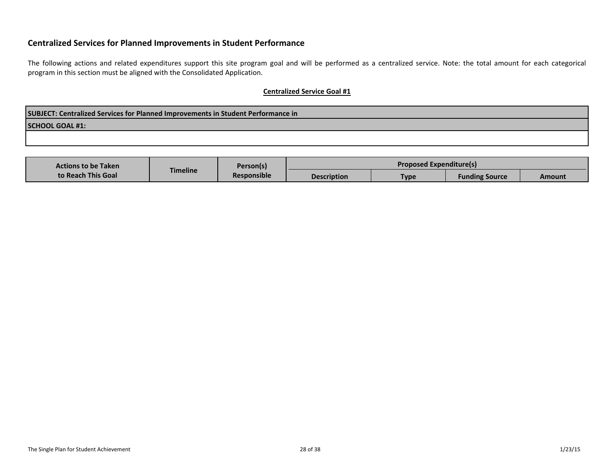The following actions and related expenditures support this site program goal and will be performed as a centralized service. Note: the total amount for each categorical program in this section must be aligned with the Consolidated Application.

| SUBJECT: Centralized Services for Planned Improvements in Student Performance in |  |
|----------------------------------------------------------------------------------|--|
| <b>SCHOOL GOAL #1:</b>                                                           |  |
|                                                                                  |  |

<span id="page-27-1"></span><span id="page-27-0"></span>

| <b>Actions to be Taken</b> |                 | Person(s)          | <b>Proposed Expenditure(s)</b> |             |                       |        |
|----------------------------|-----------------|--------------------|--------------------------------|-------------|-----------------------|--------|
| to Reach This Goal         | <b>Timeline</b> | <b>Responsible</b> | <b>Description</b>             | <b>Type</b> | <b>Funding Source</b> | Amount |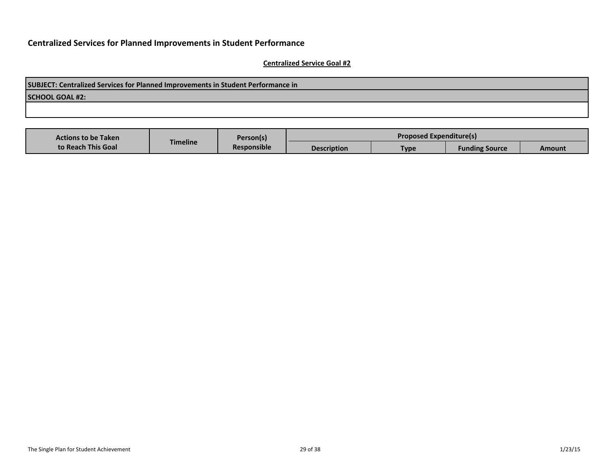| SUBJECT: Centralized Services for Planned Improvements in Student Performance in |
|----------------------------------------------------------------------------------|
| <b>SCHOOL GOAL #2:</b>                                                           |
|                                                                                  |
|                                                                                  |

<span id="page-28-0"></span>

| <b>Actions to be Taken</b> |                 | Person(s)          | <b>Proposed Expenditure(s)</b> |             |                       |        |
|----------------------------|-----------------|--------------------|--------------------------------|-------------|-----------------------|--------|
| to Reach This Goal         | <b>Timeline</b> | <b>Responsible</b> | <b>Description</b>             | <b>Type</b> | <b>Funding Source</b> | Amount |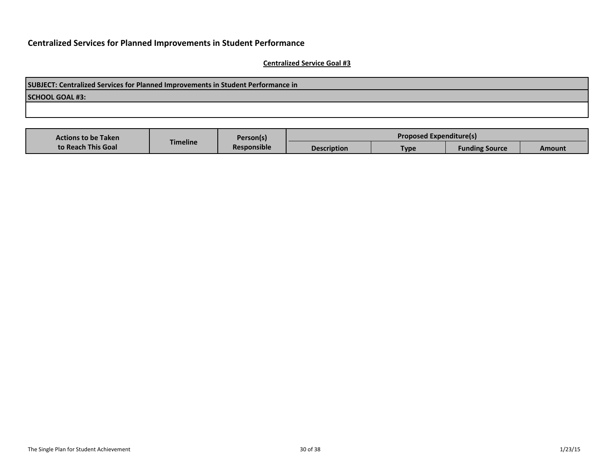| SUBJECT: Centralized Services for Planned Improvements in Student Performance in |
|----------------------------------------------------------------------------------|
| <b>SCHOOL GOAL #3:</b>                                                           |
|                                                                                  |
|                                                                                  |

<span id="page-29-0"></span>

| <b>Actions to be Taken</b> |                 | Person(s)          | <b>Proposed Expenditure(s)</b> |             |                       |        |
|----------------------------|-----------------|--------------------|--------------------------------|-------------|-----------------------|--------|
| to Reach This Goal         | <b>Timeline</b> | <b>Responsible</b> | <b>Description</b>             | <b>Type</b> | <b>Funding Source</b> | Amount |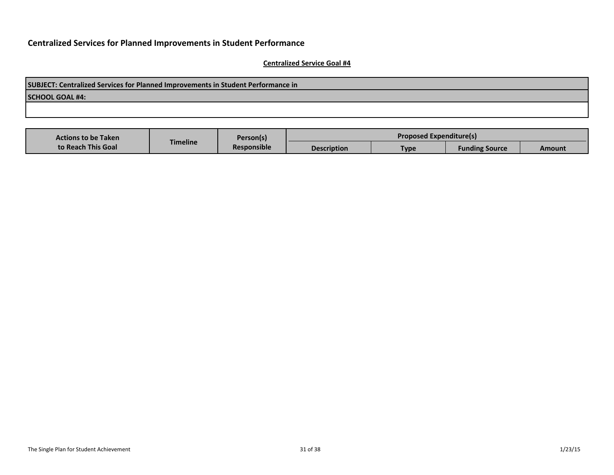| SUBJECT: Centralized Services for Planned Improvements in Student Performance in |
|----------------------------------------------------------------------------------|
| SCHOOL GOAL #4:                                                                  |
|                                                                                  |
|                                                                                  |

<span id="page-30-0"></span>

| <b>Actions to be Taken</b> |                 | Person(s)          | <b>Proposed Expenditure(s)</b> |      |                       |        |
|----------------------------|-----------------|--------------------|--------------------------------|------|-----------------------|--------|
| to Reach This Goal         | <b>Timeline</b> | <b>Responsible</b> | <b>Description</b>             | Type | <b>Funding Source</b> | Amount |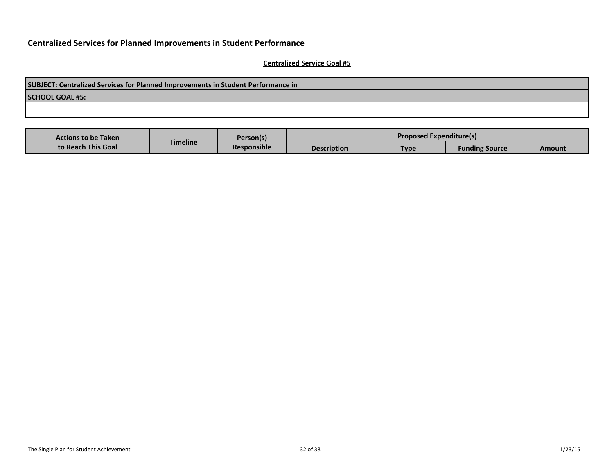| SUBJECT: Centralized Services for Planned Improvements in Student Performance in |
|----------------------------------------------------------------------------------|
| <b>SCHOOL GOAL #5:</b>                                                           |
|                                                                                  |
|                                                                                  |

<span id="page-31-0"></span>

| <b>Actions to be Taken</b> |                 | Person(s)<br><b>Responsible</b> | <b>Proposed Expenditure(s)</b> |      |                       |        |  |
|----------------------------|-----------------|---------------------------------|--------------------------------|------|-----------------------|--------|--|
| to Reach This Goal         | <b>Timeline</b> |                                 | <b>Description</b>             | Type | <b>Funding Source</b> | Amount |  |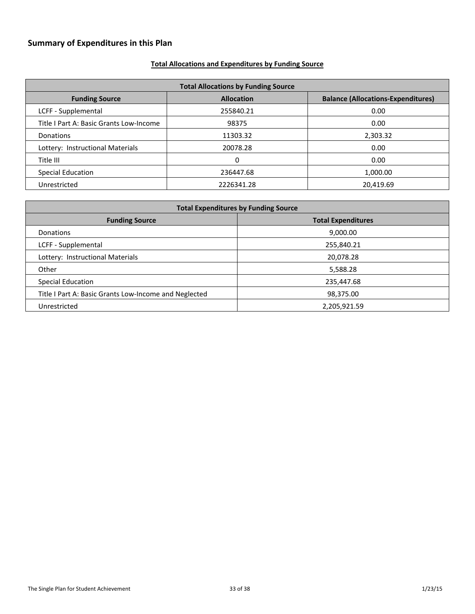## <span id="page-32-1"></span>**Total Allocations and Expenditures by Funding Source**

<span id="page-32-0"></span>

| <b>Total Allocations by Funding Source</b>                                              |            |           |  |  |  |
|-----------------------------------------------------------------------------------------|------------|-----------|--|--|--|
| <b>Allocation</b><br><b>Balance (Allocations-Expenditures)</b><br><b>Funding Source</b> |            |           |  |  |  |
| LCFF - Supplemental                                                                     | 255840.21  | 0.00      |  |  |  |
| Title I Part A: Basic Grants Low-Income                                                 | 98375      | 0.00      |  |  |  |
| Donations                                                                               | 11303.32   | 2,303.32  |  |  |  |
| Lottery: Instructional Materials                                                        | 20078.28   | 0.00      |  |  |  |
| Title III                                                                               | 0          | 0.00      |  |  |  |
| <b>Special Education</b>                                                                | 236447.68  | 1,000.00  |  |  |  |
| Unrestricted                                                                            | 2226341.28 | 20,419.69 |  |  |  |

| <b>Total Expenditures by Funding Source</b>           |              |  |  |
|-------------------------------------------------------|--------------|--|--|
| <b>Total Expenditures</b><br><b>Funding Source</b>    |              |  |  |
| <b>Donations</b>                                      | 9,000.00     |  |  |
| LCFF - Supplemental                                   | 255,840.21   |  |  |
| Lottery: Instructional Materials                      | 20,078.28    |  |  |
| Other                                                 | 5,588.28     |  |  |
| <b>Special Education</b>                              | 235,447.68   |  |  |
| Title I Part A: Basic Grants Low-Income and Neglected | 98,375.00    |  |  |
| Unrestricted                                          | 2,205,921.59 |  |  |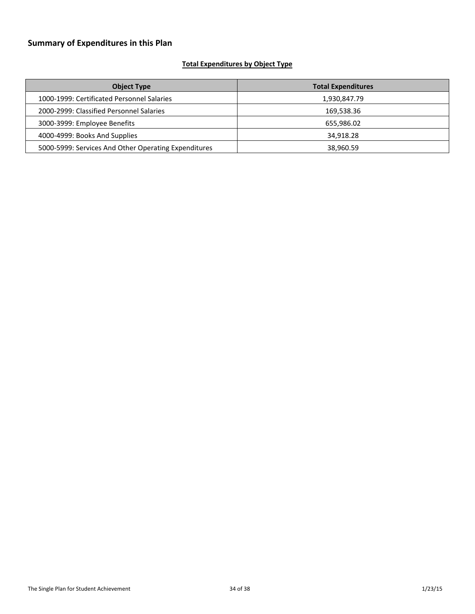## <span id="page-33-0"></span>**Total Expenditures by Object Type**

| <b>Object Type</b>                                   | <b>Total Expenditures</b> |
|------------------------------------------------------|---------------------------|
| 1000-1999: Certificated Personnel Salaries           | 1,930,847.79              |
| 2000-2999: Classified Personnel Salaries             | 169,538.36                |
| 3000-3999: Employee Benefits                         | 655,986.02                |
| 4000-4999: Books And Supplies                        | 34,918.28                 |
| 5000-5999: Services And Other Operating Expenditures | 38,960.59                 |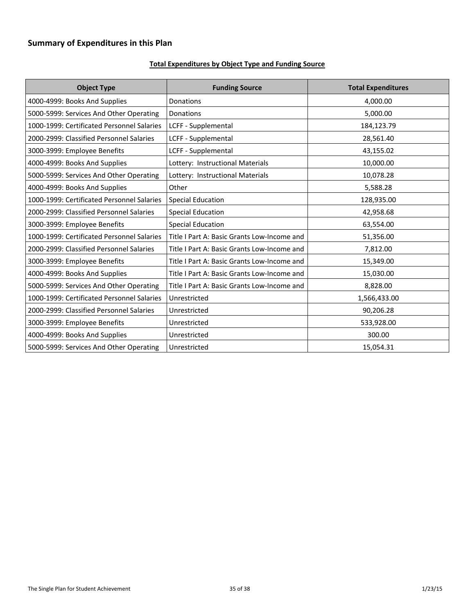## <span id="page-34-0"></span>**Total Expenditures by Object Type and Funding Source**

| <b>Object Type</b>                         | <b>Funding Source</b>                       | <b>Total Expenditures</b> |
|--------------------------------------------|---------------------------------------------|---------------------------|
| 4000-4999: Books And Supplies              | Donations                                   | 4,000.00                  |
| 5000-5999: Services And Other Operating    | Donations                                   | 5,000.00                  |
| 1000-1999: Certificated Personnel Salaries | LCFF - Supplemental                         | 184,123.79                |
| 2000-2999: Classified Personnel Salaries   | LCFF - Supplemental                         | 28,561.40                 |
| 3000-3999: Employee Benefits               | LCFF - Supplemental                         | 43,155.02                 |
| 4000-4999: Books And Supplies              | Lottery: Instructional Materials            | 10,000.00                 |
| 5000-5999: Services And Other Operating    | Lottery: Instructional Materials            | 10,078.28                 |
| 4000-4999: Books And Supplies              | Other                                       | 5,588.28                  |
| 1000-1999: Certificated Personnel Salaries | <b>Special Education</b>                    | 128,935.00                |
| 2000-2999: Classified Personnel Salaries   | <b>Special Education</b>                    | 42,958.68                 |
| 3000-3999: Employee Benefits               | <b>Special Education</b>                    | 63,554.00                 |
| 1000-1999: Certificated Personnel Salaries | Title I Part A: Basic Grants Low-Income and | 51,356.00                 |
| 2000-2999: Classified Personnel Salaries   | Title I Part A: Basic Grants Low-Income and | 7,812.00                  |
| 3000-3999: Employee Benefits               | Title I Part A: Basic Grants Low-Income and | 15,349.00                 |
| 4000-4999: Books And Supplies              | Title I Part A: Basic Grants Low-Income and | 15,030.00                 |
| 5000-5999: Services And Other Operating    | Title I Part A: Basic Grants Low-Income and | 8,828.00                  |
| 1000-1999: Certificated Personnel Salaries | Unrestricted                                | 1,566,433.00              |
| 2000-2999: Classified Personnel Salaries   | Unrestricted                                | 90,206.28                 |
| 3000-3999: Employee Benefits               | Unrestricted                                | 533,928.00                |
| 4000-4999: Books And Supplies              | Unrestricted                                | 300.00                    |
| 5000-5999: Services And Other Operating    | Unrestricted                                | 15,054.31                 |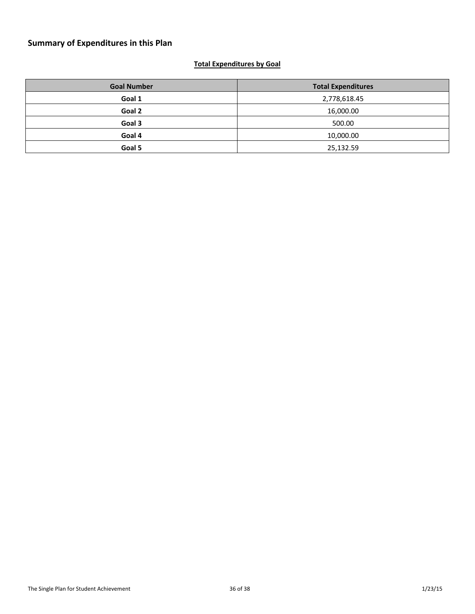## <span id="page-35-0"></span>**Total Expenditures by Goal**

| <b>Goal Number</b>     | <b>Total Expenditures</b> |
|------------------------|---------------------------|
| Goal 1<br>2,778,618.45 |                           |
| Goal 2                 | 16,000.00                 |
| Goal 3                 | 500.00                    |
| Goal 4                 | 10,000.00                 |
| Goal 5                 | 25,132.59                 |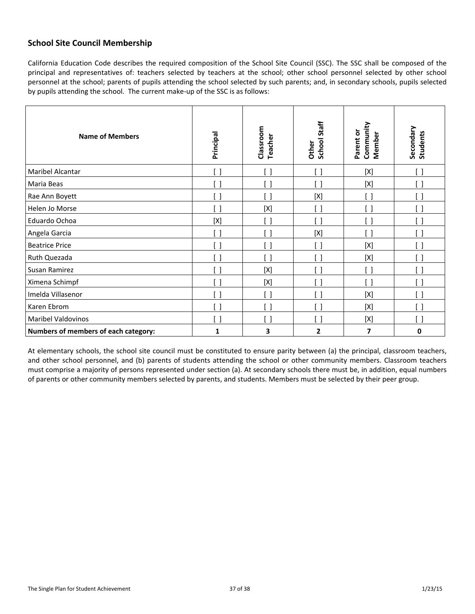## <span id="page-36-0"></span>**School Site Council Membership**

California Education Code describes the required composition of the School Site Council (SSC). The SSC shall be composed of the principal and representatives of: teachers selected by teachers at the school; other school personnel selected by other school personnel at the school; parents of pupils attending the school selected by such parents; and, in secondary schools, pupils selected by pupils attending the school. The current make-up of the SSC is as follows:

| <b>Name of Members</b>               | Principal                                     | Classroom<br><b>Teacher</b> | School Staff<br>Other                         | Community<br>Parent or<br>Member | Secondary<br><b>Students</b>                  |
|--------------------------------------|-----------------------------------------------|-----------------------------|-----------------------------------------------|----------------------------------|-----------------------------------------------|
| Maribel Alcantar                     | $\begin{bmatrix} \end{bmatrix}$               | ן ו                         | $\left[ \begin{array}{c} \end{array} \right]$ | $[{\sf X}]$                      | $\left[ \begin{array}{c} \end{array} \right]$ |
| Maria Beas                           | [ ]                                           |                             | [ ]                                           | $[{\sf X}]$                      |                                               |
| Rae Ann Boyett                       | $\left[ \begin{array}{c} \end{array} \right]$ |                             | $[{\sf X}]$                                   |                                  | $\lceil$ $\rceil$                             |
| Helen Jo Morse                       | $[\ ]$                                        | [X]                         | $\left[ \begin{array}{c} \end{array} \right]$ |                                  |                                               |
| Eduardo Ochoa                        | $[{\sf X}]$                                   |                             | [ ]                                           |                                  | $\left[ \quad \right]$                        |
| Angela Garcia                        | $\left[ \begin{array}{c} \end{array} \right]$ |                             | $[{\sf X}]$                                   |                                  | $\left[\right]$                               |
| <b>Beatrice Price</b>                | $\left[ \begin{array}{c} \end{array} \right]$ |                             | [ ]                                           | $[{\sf X}]$                      | $\begin{bmatrix} \end{bmatrix}$               |
| Ruth Quezada                         | $\left[ \begin{array}{c} \end{array} \right]$ | 0                           | $\left[ \begin{array}{c} \end{array} \right]$ | $[{\sf X}]$                      | $\left[ \quad \right]$                        |
| Susan Ramirez                        | $[\ ]$                                        | [X]                         | $[\ ]$                                        | [ ]                              | $\begin{bmatrix} \end{bmatrix}$               |
| Ximena Schimpf                       | $\left[ \begin{array}{c} \end{array} \right]$ | $[{\sf X}]$                 | [ ]                                           |                                  | $\begin{bmatrix} \end{bmatrix}$               |
| Imelda Villasenor                    | $\left[ \begin{array}{c} \end{array} \right]$ |                             | $\left[ \begin{array}{c} \end{array} \right]$ | $[{\sf X}]$                      | $\left[ \begin{array}{c} \end{array} \right]$ |
| Karen Ebrom                          | $\left[ \begin{array}{c} \end{array} \right]$ |                             | $\left[ \begin{array}{c} \end{array} \right]$ | $[{\sf X}]$                      | $\left[ \begin{array}{c} \end{array} \right]$ |
| <b>Maribel Valdovinos</b>            | $\left[ \ \right]$                            |                             | [ ]                                           | [X]                              |                                               |
| Numbers of members of each category: | 1                                             | 3                           | 2                                             | 7                                | 0                                             |

At elementary schools, the school site council must be constituted to ensure parity between (a) the principal, classroom teachers, and other school personnel, and (b) parents of students attending the school or other community members. Classroom teachers must comprise a majority of persons represented under section (a). At secondary schools there must be, in addition, equal numbers of parents or other community members selected by parents, and students. Members must be selected by their peer group.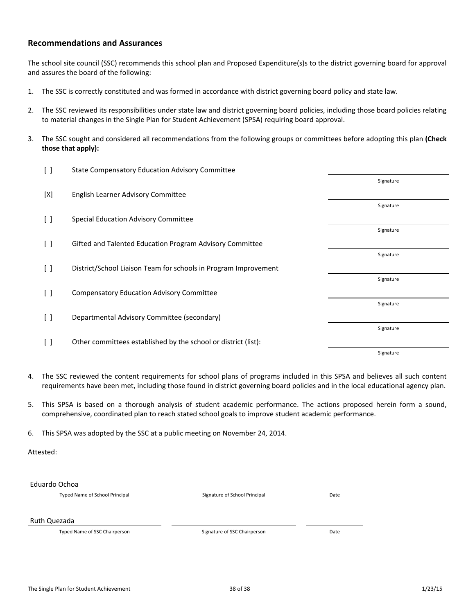## <span id="page-37-0"></span>**Recommendations and Assurances**

The school site council (SSC) recommends this school plan and Proposed Expenditure(s)s to the district governing board for approval and assures the board of the following:

- 1. The SSC is correctly constituted and was formed in accordance with district governing board policy and state law.
- 2. The SSC reviewed its responsibilities under state law and district governing board policies, including those board policies relating to material changes in the Single Plan for Student Achievement (SPSA) requiring board approval.
- 3. The SSC sought and considered all recommendations from the following groups or committees before adopting this plan **(Check those that apply):**

| [ ]                    | <b>State Compensatory Education Advisory Committee</b>          |           |
|------------------------|-----------------------------------------------------------------|-----------|
|                        |                                                                 | Signature |
| [X]                    | <b>English Learner Advisory Committee</b>                       |           |
|                        |                                                                 | Signature |
| [ ]                    | Special Education Advisory Committee                            |           |
|                        |                                                                 | Signature |
| $\left[ \quad \right]$ | Gifted and Talented Education Program Advisory Committee        |           |
|                        |                                                                 | Signature |
| [ ]                    | District/School Liaison Team for schools in Program Improvement |           |
|                        |                                                                 | Signature |
| [ ]                    | <b>Compensatory Education Advisory Committee</b>                |           |
|                        |                                                                 | Signature |
| $\left[ \quad \right]$ | Departmental Advisory Committee (secondary)                     |           |
|                        |                                                                 | Signature |
| $\left[ \ \right]$     | Other committees established by the school or district (list):  |           |
|                        |                                                                 | Signature |

- 4. The SSC reviewed the content requirements for school plans of programs included in this SPSA and believes all such content requirements have been met, including those found in district governing board policies and in the local educational agency plan.
- 5. This SPSA is based on a thorough analysis of student academic performance. The actions proposed herein form a sound, comprehensive, coordinated plan to reach stated school goals to improve student academic performance.

6. This SPSA was adopted by the SSC at a public meeting on November 24, 2014.

#### Attested:

#### Eduardo Ochoa

Typed Name of School Principal Signature of School Principal Date

#### Ruth Quezada

Typed Name of SSC Chairperson Date Chairperson Date Signature of SSC Chairperson Date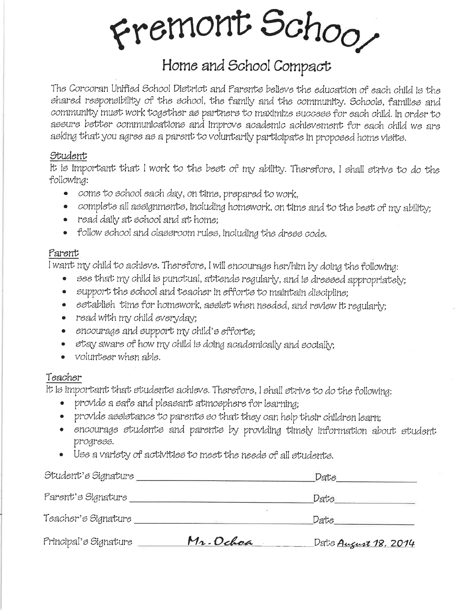Fremont Schoo,

# Home and School Compact

The Corcoran Unified School District and Parents believe the education of each child is the shared responsibility of the school, the family and the community. Schools, families and community must work together as partners to maximize success for each child. In order to assure better communications and improve academic achievement for each child we are asking that you agree as a parent to voluntarily participate in proposed home visits.

# Student

It is important that I work to the best of my ability. Therefore, I shall strive to do the following:

- come to school each day, on time, prepared to work,
- complete all assignments, including homework, on time and to the best of my ability;
- read daily at school and at home;
- follow school and classroom rules, including the dress code.

# Parent.

I want my child to achieve. Therefore, I will encourage her/him by doing the following:

- see that my child is punctual, attends regularly, and is dressed appropriately;  $\bullet$
- support the school and teacher in efforts to maintain discipline;  $\bullet$
- establish time for homework, assist when needed, and review it reqularly;  $\bullet$
- read with my child everyday;  $\bullet$
- encourage and support my child's efforts;  $\bullet$
- stay aware of how my child is doing academically and socially;
- $\bullet$  volunteer when able.

# Teacher

It is important that students achieve. Therefore, I shall strive to do the following:

- provide a safe and pleasant atmosphere for learning;
- provide assistance to parents so that they can help their children learn;
- encourage students and parents by providing timely information about student progress.
- $\bullet$  Use a variety of activities to meet the needs of all students.

| Principal's Signature | Mr. Ochoa | Date August 18, 2014 |
|-----------------------|-----------|----------------------|
| Teacher's Signature   |           | Date                 |
| Parent's Signature    |           | Date                 |
| Student's Signature   |           | Date                 |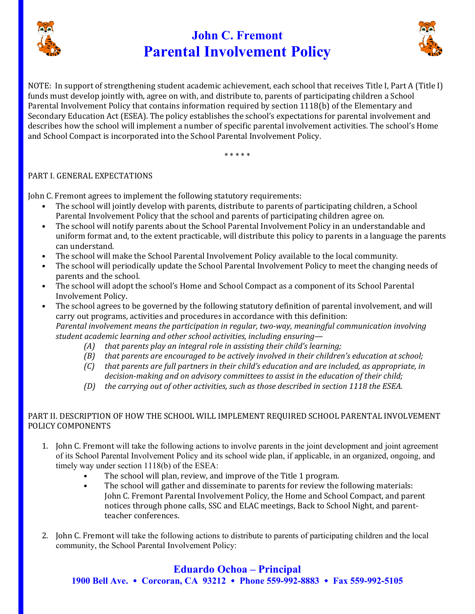

# **John C. Fremont Parental Involvement Policy**



NOTE: In support of strengthening student academic achievement, each school that receives Title I, Part A (Title I) funds must develop jointly with, agree on with, and distribute to, parents of participating children a School Parental Involvement Policy that contains information required by section 1118(b) of the Elementary and Secondary Education Act (ESEA). The policy establishes the school's expectations for parental involvement and describes how the school will implement a number of specific parental involvement activities. The school's Home and School Compact is incorporated into the School Parental Involvement Policy.

\* \* \* \* \*

## PART I. GENERAL EXPECTATIONS

John C. Fremont agrees to implement the following statutory requirements:

- The school will jointly develop with parents, distribute to parents of participating children, a School Parental Involvement Policy that the school and parents of participating children agree on.
- The school will notify parents about the School Parental Involvement Policy in an understandable and uniform format and, to the extent practicable, will distribute this policy to parents in a language the parents can understand.
- The school will make the School Parental Involvement Policy available to the local community.
- The school will periodically update the School Parental Involvement Policy to meet the changing needs of parents and the school.
- The school will adopt the school's Home and School Compact as a component of its School Parental Involvement Policy.
- The school agrees to be governed by the following statutory definition of parental involvement, and will carry out programs, activities and procedures in accordance with this definition: *Parental involvement means the participation in regular, two-way, meaningful communication involving student academic learning and other school activities, including ensuring—*
	- *(A) that parents play an integral role in assisting their child's learning;*
	- *(B) that parents are encouraged to be actively involved in their children's education at school;*
	- *(C) that parents are full partners in their child's education and are included, as appropriate, in decision-making and on advisory committees to assist in the education of their child;*
	- *(D) the carrying out of other activities, such as those described in section 1118 the ESEA.*

## PART II. DESCRIPTION OF HOW THE SCHOOL WILL IMPLEMENT REQUIRED SCHOOL PARENTAL INVOLVEMENT POLICY COMPONENTS

- 1. John C. Fremont will take the following actions to involve parents in the joint development and joint agreement of its School Parental Involvement Policy and its school wide plan, if applicable, in an organized, ongoing, and timely way under section 1118(b) of the ESEA:
	- The school will plan, review, and improve of the Title 1 program.
	- The school will gather and disseminate to parents for review the following materials: John C. Fremont Parental Involvement Policy, the Home and School Compact, and parent notices through phone calls, SSC and ELAC meetings, Back to School Night, and parentteacher conferences.
- 2. John C. Fremont will take the following actions to distribute to parents of participating children and the local community, the School Parental Involvement Policy:

# **Eduardo Ochoa – Principal 1900 Bell Ave. Corcoran, CA 93212 Phone 559-992-8883 Fax 559-992-5105**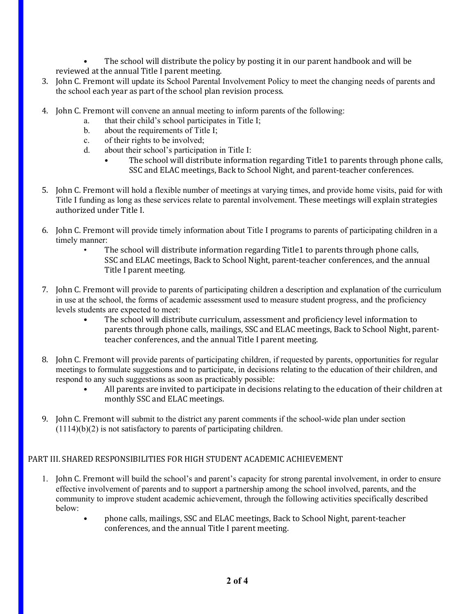The school will distribute the policy by posting it in our parent handbook and will be reviewed at the annual Title I parent meeting.

- 3. John C. Fremont will update its School Parental Involvement Policy to meet the changing needs of parents and the school each year as part of the school plan revision process.
- 4. John C. Fremont will convene an annual meeting to inform parents of the following:
	- a. that their child's school participates in Title I;
	- b. about the requirements of Title I;
	- c. of their rights to be involved;
	- d. about their school's participation in Title I:
		- The school will distribute information regarding Title1 to parents through phone calls, SSC and ELAC meetings, Back to School Night, and parent-teacher conferences.
- 5. John C. Fremont will hold a flexible number of meetings at varying times, and provide home visits, paid for with Title I funding as long as these services relate to parental involvement. These meetings will explain strategies authorized under Title I.
- 6. John C. Fremont will provide timely information about Title I programs to parents of participating children in a timely manner:
	- The school will distribute information regarding Title1 to parents through phone calls, SSC and ELAC meetings, Back to School Night, parent-teacher conferences, and the annual Title I parent meeting.
- 7. John C. Fremont will provide to parents of participating children a description and explanation of the curriculum in use at the school, the forms of academic assessment used to measure student progress, and the proficiency levels students are expected to meet:
	- The school will distribute curriculum, assessment and proficiency level information to parents through phone calls, mailings, SSC and ELAC meetings, Back to School Night, parentteacher conferences, and the annual Title I parent meeting.
- 8. John C. Fremont will provide parents of participating children, if requested by parents, opportunities for regular meetings to formulate suggestions and to participate, in decisions relating to the education of their children, and respond to any such suggestions as soon as practicably possible:
	- All parents are invited to participate in decisions relating to the education of their children at monthly SSC and ELAC meetings.
- 9. John C. Fremont will submit to the district any parent comments if the school-wide plan under section  $(1114)(b)(2)$  is not satisfactory to parents of participating children.

# PART III. SHARED RESPONSIBILITIES FOR HIGH STUDENT ACADEMIC ACHIEVEMENT

- 1. John C. Fremont will build the school's and parent's capacity for strong parental involvement, in order to ensure effective involvement of parents and to support a partnership among the school involved, parents, and the community to improve student academic achievement, through the following activities specifically described below:
	- phone calls, mailings, SSC and ELAC meetings, Back to School Night, parent-teacher conferences, and the annual Title I parent meeting.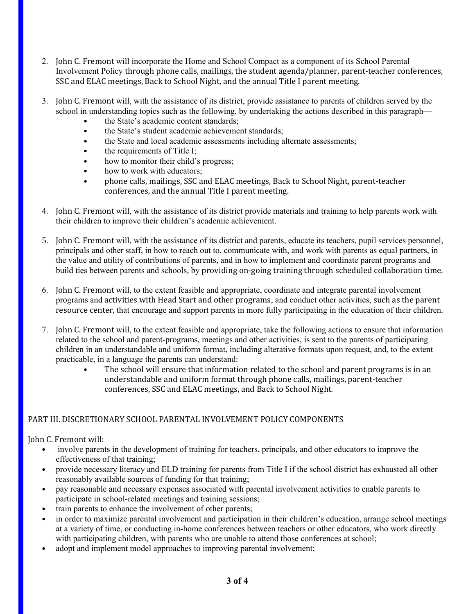- 2. John C. Fremont will incorporate the Home and School Compact as a component of its School Parental Involvement Policy through phone calls, mailings, the student agenda/planner, parent-teacher conferences, SSC and ELAC meetings, Back to School Night, and the annual Title I parent meeting.
- 3. John C. Fremont will, with the assistance of its district, provide assistance to parents of children served by the school in understanding topics such as the following, by undertaking the actions described in this paragraph
	- the State's academic content standards:
	- the State's student academic achievement standards;
	- the State and local academic assessments including alternate assessments;
	- the requirements of Title I;
	- how to monitor their child's progress;
	- how to work with educators;
	- phone calls, mailings, SSC and ELAC meetings, Back to School Night, parent-teacher conferences, and the annual Title I parent meeting.
- 4. John C. Fremont will, with the assistance of its district provide materials and training to help parents work with their children to improve their children's academic achievement.
- 5. John C. Fremont will, with the assistance of its district and parents, educate its teachers, pupil services personnel, principals and other staff, in how to reach out to, communicate with, and work with parents as equal partners, in the value and utility of contributions of parents, and in how to implement and coordinate parent programs and build ties between parents and schools, by providing on-going training through scheduled collaboration time.
- 6. John C. Fremont will, to the extent feasible and appropriate, coordinate and integrate parental involvement programs and activities with Head Start and other programs, and conduct other activities, such as the parent resource center, that encourage and support parents in more fully participating in the education of their children.
- 7. John C. Fremont will, to the extent feasible and appropriate, take the following actions to ensure that information related to the school and parent-programs, meetings and other activities, is sent to the parents of participating children in an understandable and uniform format, including alterative formats upon request, and, to the extent practicable, in a language the parents can understand:
	- The school will ensure that information related to the school and parent programs is in an understandable and uniform format through phone calls, mailings, parent-teacher conferences, SSC and ELAC meetings, and Back to School Night*.*

# PART III. DISCRETIONARY SCHOOL PARENTAL INVOLVEMENT POLICY COMPONENTS

John C. Fremont will:

- involve parents in the development of training for teachers, principals, and other educators to improve the effectiveness of that training;
- provide necessary literacy and ELD training for parents from Title I if the school district has exhausted all other reasonably available sources of funding for that training;
- pay reasonable and necessary expenses associated with parental involvement activities to enable parents to participate in school-related meetings and training sessions;
- train parents to enhance the involvement of other parents;
- in order to maximize parental involvement and participation in their children's education, arrange school meetings at a variety of time, or conducting in-home conferences between teachers or other educators, who work directly with participating children, with parents who are unable to attend those conferences at school;
- adopt and implement model approaches to improving parental involvement;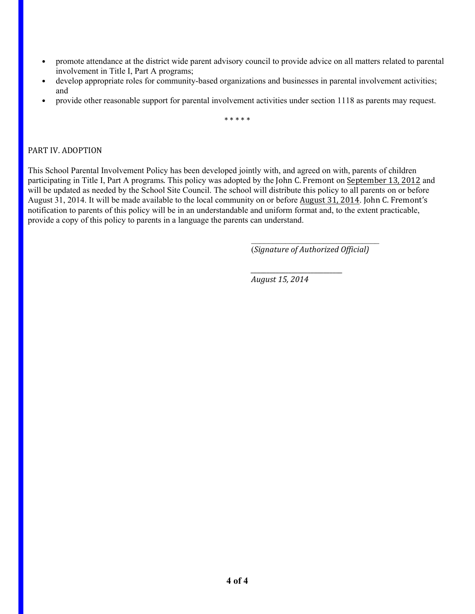- promote attendance at the district wide parent advisory council to provide advice on all matters related to parental involvement in Title I, Part A programs;
- develop appropriate roles for community-based organizations and businesses in parental involvement activities; and
- provide other reasonable support for parental involvement activities under section 1118 as parents may request.

\* \* \* \* \*

## PART IV. ADOPTION

This School Parental Involvement Policy has been developed jointly with, and agreed on with, parents of children participating in Title I, Part A programs. This policy was adopted by the John C. Fremont on September 13, 2012 and will be updated as needed by the School Site Council. The school will distribute this policy to all parents on or before August 31, 2014. It will be made available to the local community on or before August 31, 2014. John C. Fremont's notification to parents of this policy will be in an understandable and uniform format and, to the extent practicable, provide a copy of this policy to parents in a language the parents can understand.

> $\mathcal{L}_\text{max}$  , where  $\mathcal{L}_\text{max}$  is the set of the set of the set of the set of the set of the set of the set of the set of the set of the set of the set of the set of the set of the set of the set of the set of the se (*Signature of Authorized Official)*

*August 15, 2014*

*\_\_\_\_\_\_\_\_\_\_\_\_\_\_\_\_\_\_\_\_\_\_\_\_\_\_\_\_\_*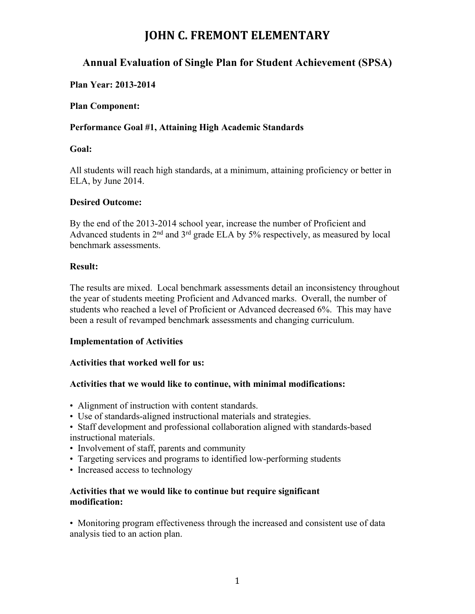# **Annual Evaluation of Single Plan for Student Achievement (SPSA)**

# **Plan Year: 2013-2014**

## **Plan Component:**

# **Performance Goal #1, Attaining High Academic Standards**

## **Goal:**

All students will reach high standards, at a minimum, attaining proficiency or better in ELA, by June 2014.

## **Desired Outcome:**

By the end of the 2013-2014 school year, increase the number of Proficient and Advanced students in  $2<sup>nd</sup>$  and  $3<sup>rd</sup>$  grade ELA by 5% respectively, as measured by local benchmark assessments.

## **Result:**

The results are mixed. Local benchmark assessments detail an inconsistency throughout the year of students meeting Proficient and Advanced marks. Overall, the number of students who reached a level of Proficient or Advanced decreased 6%. This may have been a result of revamped benchmark assessments and changing curriculum.

# **Implementation of Activities**

# **Activities that worked well for us:**

# **Activities that we would like to continue, with minimal modifications:**

- Alignment of instruction with content standards.
- Use of standards-aligned instructional materials and strategies.
- Staff development and professional collaboration aligned with standards-based instructional materials.
- Involvement of staff, parents and community
- Targeting services and programs to identified low-performing students
- Increased access to technology

## **Activities that we would like to continue but require significant modification:**

• Monitoring program effectiveness through the increased and consistent use of data analysis tied to an action plan.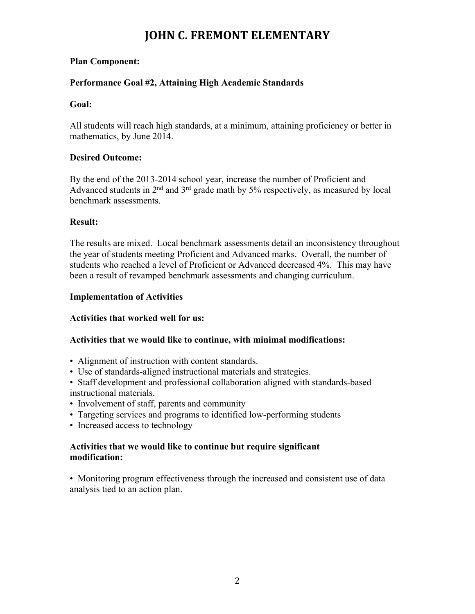# **Plan Component:**

# **Performance Goal #2, Attaining High Academic Standards**

# **Goal:**

All students will reach high standards, at a minimum, attaining proficiency or better in mathematics, by June 2014.

# **Desired Outcome:**

By the end of the 2013-2014 school year, increase the number of Proficient and Advanced students in  $2<sup>nd</sup>$  and  $3<sup>rd</sup>$  grade math by 5% respectively, as measured by local benchmark assessments.

# **Result:**

The results are mixed. Local benchmark assessments detail an inconsistency throughout the year of students meeting Proficient and Advanced marks. Overall, the number of students who reached a level of Proficient or Advanced decreased 4%. This may have been a result of revamped benchmark assessments and changing curriculum.

# **Implementation of Activities**

# **Activities that worked well for us:**

# **Activities that we would like to continue, with minimal modifications:**

- Alignment of instruction with content standards.
- Use of standards-aligned instructional materials and strategies.
- Staff development and professional collaboration aligned with standards-based instructional materials.
- Involvement of staff, parents and community
- Targeting services and programs to identified low-performing students
- Increased access to technology

# **Activities that we would like to continue but require significant modification:**

• Monitoring program effectiveness through the increased and consistent use of data analysis tied to an action plan.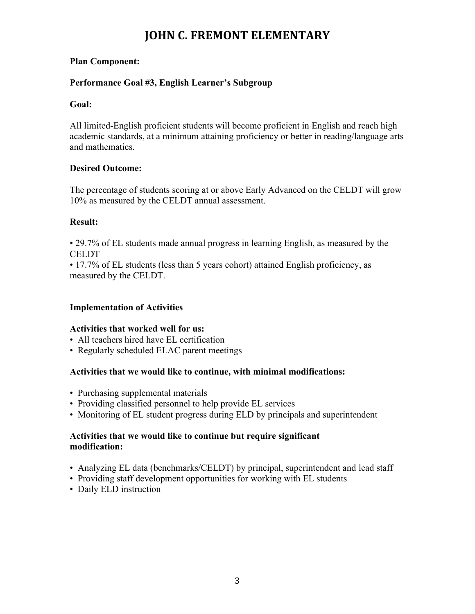# **Plan Component:**

## **Performance Goal #3, English Learner's Subgroup**

## **Goal:**

All limited-English proficient students will become proficient in English and reach high academic standards, at a minimum attaining proficiency or better in reading/language arts and mathematics.

## **Desired Outcome:**

The percentage of students scoring at or above Early Advanced on the CELDT will grow 10% as measured by the CELDT annual assessment.

## **Result:**

• 29.7% of EL students made annual progress in learning English, as measured by the **CELDT** 

• 17.7% of EL students (less than 5 years cohort) attained English proficiency, as measured by the CELDT.

## **Implementation of Activities**

## **Activities that worked well for us:**

- All teachers hired have EL certification
- Regularly scheduled ELAC parent meetings

## **Activities that we would like to continue, with minimal modifications:**

- Purchasing supplemental materials
- Providing classified personnel to help provide EL services
- Monitoring of EL student progress during ELD by principals and superintendent

## **Activities that we would like to continue but require significant modification:**

- Analyzing EL data (benchmarks/CELDT) by principal, superintendent and lead staff
- Providing staff development opportunities for working with EL students
- Daily ELD instruction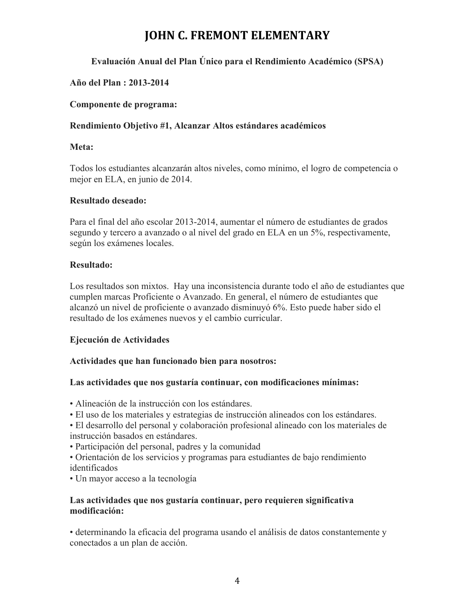# **Evaluación Anual del Plan Único para el Rendimiento Académico (SPSA)**

# **Año del Plan : 2013-2014**

# **Componente de programa:**

# **Rendimiento Objetivo #1, Alcanzar Altos estándares académicos**

# **Meta:**

Todos los estudiantes alcanzarán altos niveles, como mínimo, el logro de competencia o mejor en ELA, en junio de 2014.

# **Resultado deseado:**

Para el final del año escolar 2013-2014, aumentar el número de estudiantes de grados segundo y tercero a avanzado o al nivel del grado en ELA en un 5%, respectivamente, según los exámenes locales.

# **Resultado:**

Los resultados son mixtos. Hay una inconsistencia durante todo el año de estudiantes que cumplen marcas Proficiente o Avanzado. En general, el número de estudiantes que alcanzó un nivel de proficiente o avanzado disminuyó 6%. Esto puede haber sido el resultado de los exámenes nuevos y el cambio curricular.

# **Ejecución de Actividades**

# **Actividades que han funcionado bien para nosotros:**

# **Las actividades que nos gustaría continuar, con modificaciones mínimas:**

• Alineación de la instrucción con los estándares.

- El uso de los materiales y estrategias de instrucción alineados con los estándares.
- El desarrollo del personal y colaboración profesional alineado con los materiales de instrucción basados en estándares.
- Participación del personal, padres y la comunidad
- Orientación de los servicios y programas para estudiantes de bajo rendimiento identificados
- Un mayor acceso a la tecnología

# **Las actividades que nos gustaría continuar, pero requieren significativa modificación:**

• determinando la eficacia del programa usando el análisis de datos constantemente y conectados a un plan de acción.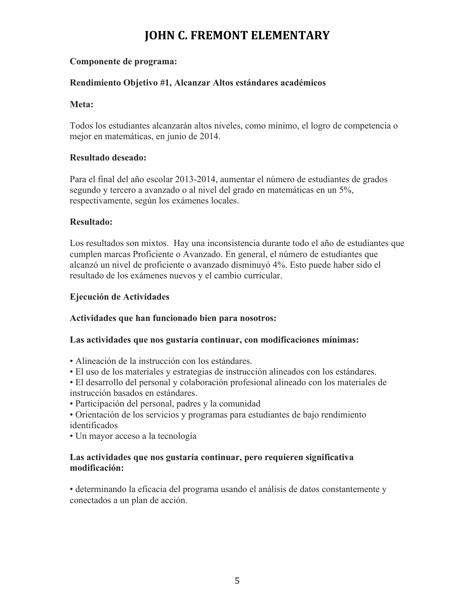# **Componente de programa:**

## **Rendimiento Objetivo #1, Alcanzar Altos estándares académicos**

## **Meta:**

Todos los estudiantes alcanzarán altos niveles, como mínimo, el logro de competencia o mejor en matemáticas, en junio de 2014.

## **Resultado deseado:**

Para el final del año escolar 2013-2014, aumentar el número de estudiantes de grados segundo y tercero a avanzado o al nivel del grado en matemáticas en un 5%, respectivamente, según los exámenes locales.

## **Resultado:**

Los resultados son mixtos. Hay una inconsistencia durante todo el año de estudiantes que cumplen marcas Proficiente o Avanzado. En general, el número de estudiantes que alcanzó un nivel de proficiente o avanzado disminuyó 4%. Esto puede haber sido el resultado de los exámenes nuevos y el cambio curricular.

## **Ejecución de Actividades**

## **Actividades que han funcionado bien para nosotros:**

## **Las actividades que nos gustaría continuar, con modificaciones mínimas:**

• Alineación de la instrucción con los estándares.

- El uso de los materiales y estrategias de instrucción alineados con los estándares.
- El desarrollo del personal y colaboración profesional alineado con los materiales de instrucción basados en estándares.
- Participación del personal, padres y la comunidad
- Orientación de los servicios y programas para estudiantes de bajo rendimiento identificados
- Un mayor acceso a la tecnología

## **Las actividades que nos gustaría continuar, pero requieren significativa modificación:**

• determinando la eficacia del programa usando el análisis de datos constantemente y conectados a un plan de acción.